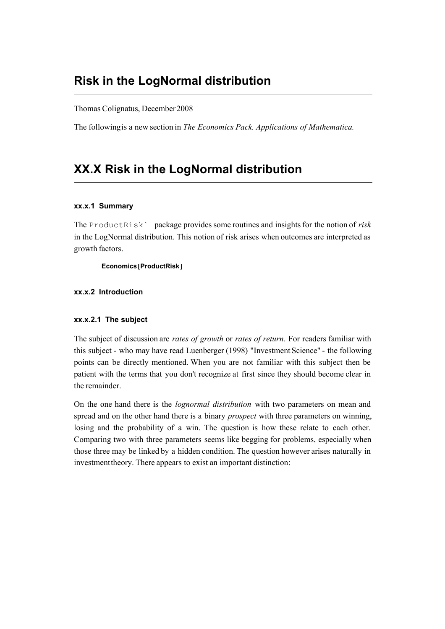# Risk in the LogNormal distribution

Thomas Colignatus, December 2008

The following is a new section in The Economics Pack. Applications of Mathematica.

# XX.X Risk in the LogNormal distribution

# xx.x.1 Summary

The ProductRisk package provides some routines and insights for the notion of risk in the LogNormal distribution. This notion of risk arises when outcomes are interpreted as growth factors.

Economics [ProductRisk]

xx.x.2 Introduction

# xx.x.2.1 The subject

The subject of discussion are *rates of growth* or *rates of return*. For readers familiar with this subject - who may have read Luenberger (1998) "Investment Science" - the following points can be directly mentioned. When you are not familiar with this subject then be patient with the terms that you don't recognize at first since they should become clear in the remainder.

On the one hand there is the lognormal distribution with two parameters on mean and spread and on the other hand there is a binary *prospect* with three parameters on winning, losing and the probability of a win. The question is how these relate to each other. Comparing two with three parameters seems like begging for problems, especially when those three may be linked by a hidden condition. The question however arises naturally in investment theory. There appears to exist an important distinction: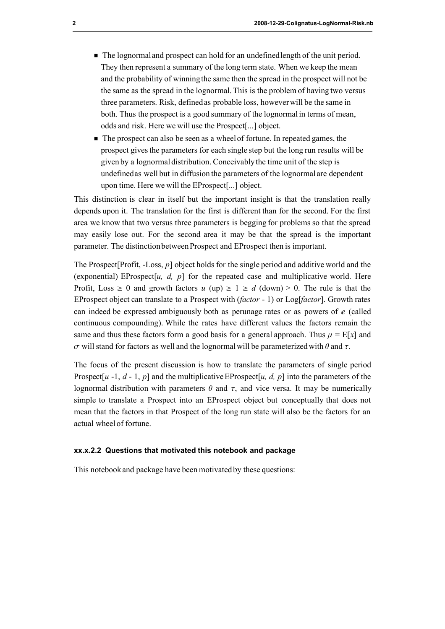- The lognormal and prospect can hold for an undefined length of the unit period. They then represent a summary of the long term state. When we keep the mean and the probability of winning the same then the spread in the prospect will not be the same as the spread in the lognormal. This is the problem of having two versus three parameters. Risk, defined as probable loss, however will be the same in both. Thus the prospect is a good summary of the lognormal in terms of mean, odds and risk. Here we will use the Prospect[...] object.
- $\blacksquare$  The prospect can also be seen as a wheel of fortune. In repeated games, the prospect gives the parameters for each single step but the long run results will be given by a lognormal distribution. Conceivably the time unit of the step is undefined as well but in diffusion the parameters of the lognormal are dependent upon time. Here we will the EProspect[...] object.

This distinction is clear in itself but the important insight is that the translation really depends upon it. The translation for the first is different than for the second. For the first area we know that two versus three parameters is begging for problems so that the spread may easily lose out. For the second area it may be that the spread is the important parameter. The distinction between Prospect and EProspect then is important.

The Prospect[Profit, -Loss, p] object holds for the single period and additive world and the (exponential) EProspect $[u, d, p]$  for the repeated case and multiplicative world. Here Profit, Loss  $\geq 0$  and growth factors  $u$  (up)  $\geq 1 \geq d$  (down)  $> 0$ . The rule is that the EProspect object can translate to a Prospect with  $(factor - 1)$  or  $Log[factor]$ . Growth rates can indeed be expressed ambiguously both as perunage rates or as powers of  $e$  (called continuous compounding). While the rates have different values the factors remain the same and thus these factors form a good basis for a general approach. Thus  $\mu = E[x]$  and  $\sigma$  will stand for factors as well and the lognormal will be parameterized with  $\theta$  and  $\tau$ .

The focus of the present discussion is how to translate the parameters of single period Prospect  $[u -1, d - 1, p]$  and the multiplicative EProspect  $[u, d, p]$  into the parameters of the lognormal distribution with parameters  $\theta$  and  $\tau$ , and vice versa. It may be numerically simple to translate a Prospect into an EProspect object but conceptually that does not mean that the factors in that Prospect of the long run state will also be the factors for an actual wheel of fortune.

# xx.x.2.2 Questions that motivated this notebook and package

This notebook and package have been motivated by these questions: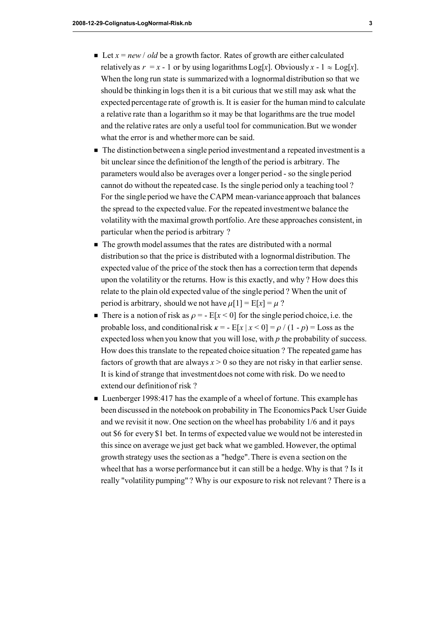- $\blacksquare$  Let  $x = new / old$  be a growth factor. Rates of growth are either calculated relatively as  $r = x - 1$  or by using logarithms  $Log[x]$ . Obviously  $x - 1 \approx Log[x]$ . When the long run state is summarized with a lognormal distribution so that we should be thinking in logs then it is a bit curious that we still may ask what the expected percentage rate of growth is. It is easier for the human mind to calculate a relative rate than a logarithm so it may be that logarithms are the true model and the relative rates are only a useful tool for communication. But we wonder what the error is and whether more can be said.
- $\blacksquare$  The distinction between a single period investment and a repeated investment is a bit unclear since the definition of the length of the period is arbitrary. The parameters would also be averages over a longer period - so the single period cannot do without the repeated case. Is the single period only a teaching tool ? For the single period we have the CAPM mean-variance approach that balances the spread to the expected value. For the repeated investment we balance the volatility with the maximal growth portfolio. Are these approaches consistent, in particular when the period is arbitrary ?
- $\blacksquare$  The growth model assumes that the rates are distributed with a normal distribution so that the price is distributed with a lognormal distribution. The expected value of the price of the stock then has a correction term that depends upon the volatility or the returns. How is this exactly, and why ? How does this relate to the plain old expected value of the single period ? When the unit of period is arbitrary, should we not have  $\mu[1] = E[x] = \mu$ ?
- $\blacksquare$  There is a notion of risk as  $\rho = -E[x \le 0]$  for the single period choice, i.e. the probable loss, and conditional risk  $\kappa = -E[x | x \le 0] = \rho / (1 - p) =$ Loss as the expected loss when you know that you will lose, with  $p$  the probability of success. How does this translate to the repeated choice situation ? The repeated game has factors of growth that are always  $x > 0$  so they are not risky in that earlier sense. It is kind of strange that investment does not come with risk. Do we need to extend our definition of risk ?
- Luenberger 1998:417 has the example of a wheel of fortune. This example has been discussed in the notebook on probability in The Economics Pack User Guide and we revisit it now. One section on the wheel has probability 1/6 and it pays out \$6 for every \$1 bet. In terms of expected value we would not be interested in this since on average we just get back what we gambled. However, the optimal growth strategy uses the section as a "hedge". There is even a section on the wheel that has a worse performance but it can still be a hedge. Why is that ? Is it really "volatility pumping" ? Why is our exposure to risk not relevant ? There is a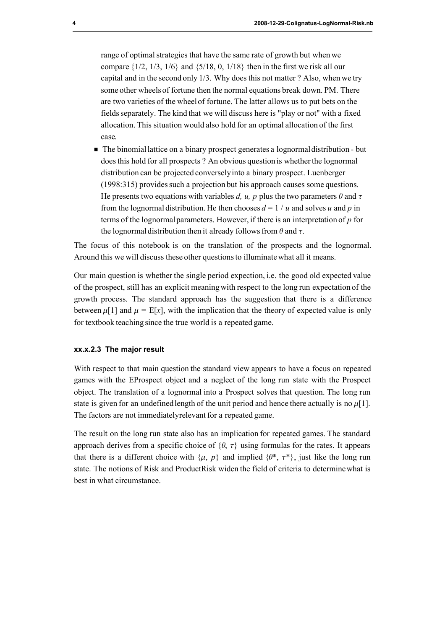range of optimal strategies that have the same rate of growth but when we compare  $\{1/2, 1/3, 1/6\}$  and  $\{5/18, 0, 1/18\}$  then in the first we risk all our capital and in the second only 1/3. Why does this not matter ? Also, when we try some other wheels of fortune then the normal equations break down. PM. There are two varieties of the wheel of fortune. The latter allows us to put bets on the fields separately. The kind that we will discuss here is "play or not" with a fixed allocation. This situation would also hold for an optimal allocation of the first case.

 † The binomial lattice on a binary prospect generates a lognormal distribution - but does this hold for all prospects ? An obvious question is whether the lognormal distribution can be projected conversely into a binary prospect. Luenberger (1998:315) provides such a projection but his approach causes some questions. He presents two equations with variables d, u, p plus the two parameters  $\theta$  and  $\tau$ from the lognormal distribution. He then chooses  $d = 1 / u$  and solves u and p in terms of the lognormal parameters. However, if there is an interpretation of  $p$  for the lognormal distribution then it already follows from  $\theta$  and  $\tau$ .

The focus of this notebook is on the translation of the prospects and the lognormal. Around this we will discuss these other questions to illuminate what all it means.

Our main question is whether the single period expection, i.e. the good old expected value of the prospect, still has an explicit meaning with respect to the long run expectation of the growth process. The standard approach has the suggestion that there is a difference between  $\mu[1]$  and  $\mu = E[x]$ , with the implication that the theory of expected value is only for textbook teaching since the true world is a repeated game.

# xx.x.2.3 The major result

With respect to that main question the standard view appears to have a focus on repeated games with the EProspect object and a neglect of the long run state with the Prospect object. The translation of a lognormal into a Prospect solves that question. The long run state is given for an undefined length of the unit period and hence there actually is no  $\mu[1]$ . The factors are not immediately relevant for a repeated game.

The result on the long run state also has an implication for repeated games. The standard approach derives from a specific choice of  $\{\theta, \tau\}$  using formulas for the rates. It appears that there is a different choice with  $\{\mu, p\}$  and implied  $\{\theta^*, \tau^*\}$ , just like the long run state. The notions of Risk and ProductRisk widen the field of criteria to determine what is best in what circumstance.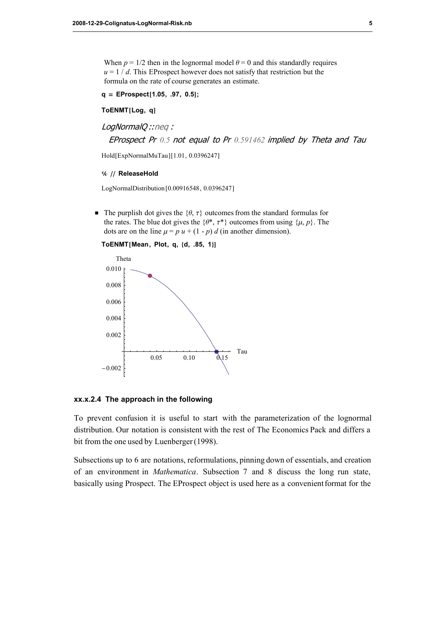When  $p = 1/2$  then in the lognormal model  $\theta = 0$  and this standardly requires  $u = 1 / d$ . This EProspect however does not satisfy that restriction but the formula on the rate of course generates an estimate.

```
q = EProspect[1.05, .97, 0.5];
```
#### ToENMT[Log, q]

LogNormalQ ::neq :

EProspect Pr 0.5 not equal to Pr 0.591462 implied by Theta and Tau

Hold[ExpNormalMuTau][1.01, 0.0396247]

#### % // ReleaseHold

LogNormalDistribution [0.00916548, 0.0396247]

 $\blacksquare$  The purplish dot gives the  $\{\theta, \tau\}$  outcomes from the standard formulas for the rates. The blue dot gives the  $\{\theta^*, \tau^*\}$  outcomes from using  $\{\mu, p\}$ . The dots are on the line  $\mu = p u + (1 - p) d$  (in another dimension).





# xx.x.2.4 The approach in the following

To prevent confusion it is useful to start with the parameterization of the lognormal distribution. Our notation is consistent with the rest of The Economics Pack and differs a bit from the one used by Luenberger (1998).

Subsections up to 6 are notations, reformulations, pinning down of essentials, and creation of an environment in Mathematica. Subsection 7 and 8 discuss the long run state, basically using Prospect. The EProspect object is used here as a convenient format for the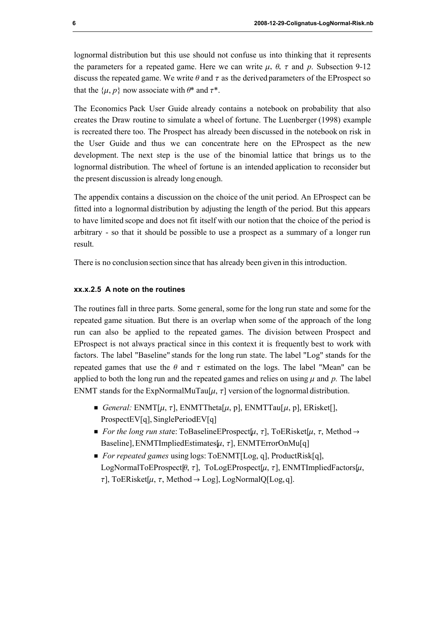lognormal distribution but this use should not confuse us into thinking that it represents the parameters for a repeated game. Here we can write  $\mu$ ,  $\theta$ ,  $\tau$  and p. Subsection 9-12 discuss the repeated game. We write  $\theta$  and  $\tau$  as the derived parameters of the EProspect so that the  $\{u, p\}$  now associate with  $\theta^*$  and  $\tau^*$ .

The Economics Pack User Guide already contains a notebook on probability that also creates the Draw routine to simulate a wheel of fortune. The Luenberger (1998) example is recreated there too. The Prospect has already been discussed in the notebook on risk in the User Guide and thus we can concentrate here on the EProspect as the new development. The next step is the use of the binomial lattice that brings us to the lognormal distribution. The wheel of fortune is an intended application to reconsider but the present discussion is already long enough.

The appendix contains a discussion on the choice of the unit period. An EProspect can be fitted into a lognormal distribution by adjusting the length of the period. But this appears to have limited scope and does not fit itself with our notion that the choice of the period is arbitrary - so that it should be possible to use a prospect as a summary of a longer run result.

There is no conclusion section since that has already been given in this introduction.

# xx.x.2.5 A note on the routines

The routines fall in three parts. Some general, some for the long run state and some for the repeated game situation. But there is an overlap when some of the approach of the long run can also be applied to the repeated games. The division between Prospect and EProspect is not always practical since in this context it is frequently best to work with factors. The label "Baseline" stands for the long run state. The label "Log" stands for the repeated games that use the  $\theta$  and  $\tau$  estimated on the logs. The label "Mean" can be applied to both the long run and the repeated games and relies on using  $\mu$  and p. The label ENMT stands for the ExpNormalMuTau[u,  $\tau$ ] version of the lognormal distribution.

- General: ENMT[ $\mu$ ,  $\tau$ ], ENMTTheta[ $\mu$ , p], ENMTTau[ $\mu$ , p], ERisket[], ProspectEV[q], SinglePeriodEV[q]
- $\blacksquare$  For the long run state: ToBaselineEProspect[ $\mu$ ,  $\tau$ ], ToERisket[ $\mu$ ,  $\tau$ , Method → Baseline], ENMTImpliedEstimates $[\mu, \tau]$ , ENMTErrorOnMu[q]
- $\blacksquare$  For repeated games using logs: ToENMT[Log, q], ProductRisk[q], LogNormalToEProspect $[\theta, \tau]$ , ToLogEProspect $[\mu, \tau]$ , ENMTImpliedFactors $[\mu, \tau]$  $\tau$ ], ToERisket[ $\mu$ ,  $\tau$ , Method  $\rightarrow$  Log], LogNormalQ[Log, q].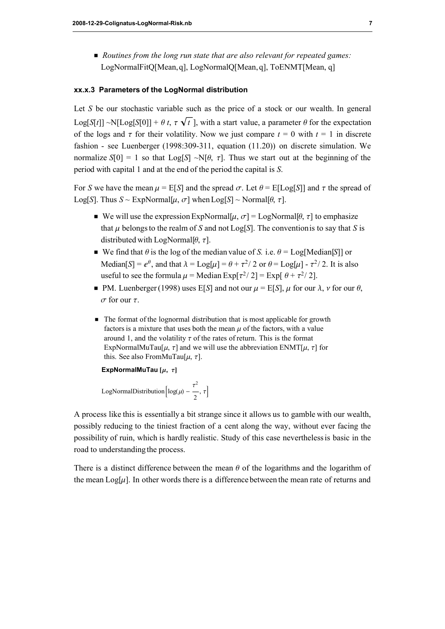■ Routines from the long run state that are also relevant for repeated games: LogNormalFitQ[Mean, q], LogNormalQ[Mean, q], ToENMT[Mean, q]

# xx.x.3 Parameters of the LogNormal distribution

Let  $S$  be our stochastic variable such as the price of a stock or our wealth. In general Log[S[t]] ~N[Log[S[0]] +  $\theta t$ ,  $\tau \sqrt{t}$ ], with a start value, a parameter  $\theta$  for the expectation of the logs and  $\tau$  for their volatility. Now we just compare  $t = 0$  with  $t = 1$  in discrete fashion - see Luenberger (1998:309-311, equation (11.20)) on discrete simulation. We normalize  $S[0] = 1$  so that  $Log[S] \sim N[\theta, \tau]$ . Thus we start out at the beginning of the period with capital 1 and at the end of the period the capital is S.

For S we have the mean  $\mu = E[S]$  and the spread  $\sigma$ . Let  $\theta = E[Log[S]]$  and  $\tau$  the spread of Log[S]. Thus  $S \sim \text{ExpNormal}[\mu, \sigma]$  when  $\text{Log}[S] \sim \text{Normal}[\theta, \tau]$ .

- We will use the expression ExpNormal $[\mu, \sigma] =$  LogNormal $[\theta, \tau]$  to emphasize that  $\mu$  belongs to the realm of S and not Log[S]. The convention is to say that S is distributed with LogNormal $[\theta, \tau]$ .
- We find that  $\theta$  is the log of the median value of S. i.e.  $\theta =$  Log[Median[S]] or Median[S] =  $e^{\theta}$ , and that  $\lambda = \text{Log}[\mu] = \theta + \tau^2/2$  or  $\theta = \text{Log}[\mu] - \tau^2/2$ . It is also useful to see the formula  $\mu$  = Median Exp[ $\tau^2/2$ ] = Exp[ $\theta + \tau^2/2$ ].
- PM. Luenberger (1998) uses E[S] and not our  $\mu =$  E[S],  $\mu$  for our  $\lambda$ ,  $\nu$  for our  $\theta$ ,  $\sigma$  for our  $\tau$ .
- The format of the lognormal distribution that is most applicable for growth factors is a mixture that uses both the mean  $\mu$  of the factors, with a value around 1, and the volatility  $\tau$  of the rates of return. This is the format ExpNormalMuTau[ $\mu$ ,  $\tau$ ] and we will use the abbreviation ENMT[ $\mu$ ,  $\tau$ ] for this. See also FromMuTau[ $\mu$ ,  $\tau$ ].

ExpNormalMuTau  $[\mu, \tau]$ 

LogNormalDistribution  $\log(\mu)$  –  $\tau^2$  $\left[\frac{\ }{2},\tau\right]$ 

A process like this is essentially a bit strange since it allows us to gamble with our wealth, possibly reducing to the tiniest fraction of a cent along the way, without ever facing the possibility of ruin, which is hardly realistic. Study of this case nevertheless is basic in the road to understanding the process.

There is a distinct difference between the mean  $\theta$  of the logarithms and the logarithm of the mean  $\text{Log}[\mu]$ . In other words there is a difference between the mean rate of returns and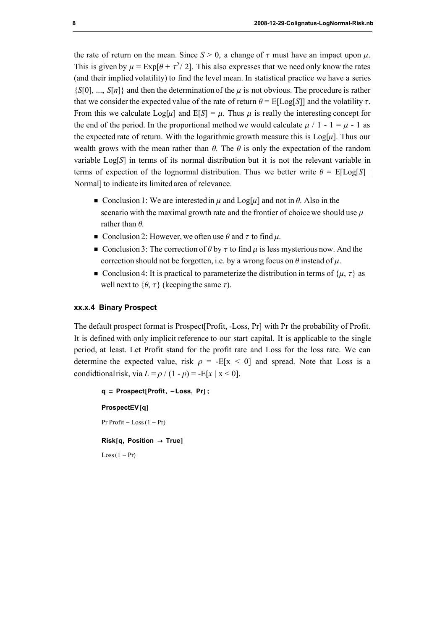the rate of return on the mean. Since  $S > 0$ , a change of  $\tau$  must have an impact upon  $\mu$ . This is given by  $\mu = \text{Exp}[\theta + \tau^2/2]$ . This also expresses that we need only know the rates (and their implied volatility) to find the level mean. In statistical practice we have a series  $\{S[0], ..., S[n]\}\$  and then the determination of the  $\mu$  is not obvious. The procedure is rather that we consider the expected value of the rate of return  $\theta = E[Log[S]]$  and the volatility  $\tau$ . From this we calculate  $\text{Log}[\mu]$  and  $\text{E}[S] = \mu$ . Thus  $\mu$  is really the interesting concept for the end of the period. In the proportional method we would calculate  $\mu / 1 - 1 = \mu - 1$  as the expected rate of return. With the logarithmic growth measure this is  $\text{Log}[\mu]$ . Thus our wealth grows with the mean rather than  $\theta$ . The  $\theta$  is only the expectation of the random variable Log[S] in terms of its normal distribution but it is not the relevant variable in terms of expection of the lognormal distribution. Thus we better write  $\theta = E[Log[S]]$ Normal] to indicate its limited area of relevance.

- $\blacksquare$  Conclusion 1: We are interested in  $\mu$  and Log[ $\mu$ ] and not in  $\theta$ . Also in the scenario with the maximal growth rate and the frontier of choice we should use  $\mu$ rather than  $\theta$ .
- Conclusion 2: However, we often use  $\theta$  and  $\tau$  to find  $\mu$ .
- Conclusion 3: The correction of  $\theta$  by  $\tau$  to find  $\mu$  is less mysterious now. And the correction should not be forgotten, i.e. by a wrong focus on  $\theta$  instead of  $\mu$ .
- Conclusion 4: It is practical to parameterize the distribution in terms of  $\{\mu, \tau\}$  as well next to  $\{\theta, \tau\}$  (keeping the same  $\tau$ ).

# xx.x.4 Binary Prospect

The default prospect format is Prospect[Profit, -Loss, Pr] with Pr the probability of Profit. It is defined with only implicit reference to our start capital. It is applicable to the single period, at least. Let Profit stand for the profit rate and Loss for the loss rate. We can determine the expected value, risk  $\rho = -E[x \le 0]$  and spread. Note that Loss is a condidtional risk, via  $L = \rho / (1 - p) = -E[x \mid x < 0].$ 

```
q = Prospect [Profit, -Loss, Pr];
ProspectEV[q]
Pr Profit - Loss (1 - Pr)Risk[q, Position \rightarrow True]
Loss(1 - Pr)
```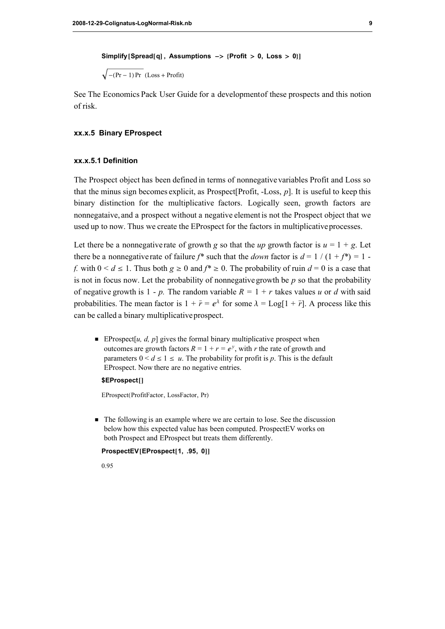#### Simplify  $[{\sf{Spread}}[q]$ , Assumptions  $\rightarrow$   $\{ {\sf Profit} > 0,$  Loss  $> 0 \}]$

 $\sqrt{- (Pr - 1) Pr}$  (Loss + Profit)

See The Economics Pack User Guide for a development of these prospects and this notion of risk.

# xx.x.5 Binary EProspect

# xx.x.5.1 Definition

The Prospect object has been defined in terms of nonnegative variables Profit and Loss so that the minus sign becomes explicit, as Prospect  $[Profit, -Loss, p]$ . It is useful to keep this binary distinction for the multiplicative factors. Logically seen, growth factors are nonnegataive, and a prospect without a negative element is not the Prospect object that we used up to now. Thus we create the EProspect for the factors in multiplicative processes.

Let there be a nonnegative rate of growth g so that the up growth factor is  $u = 1 + g$ . Let there be a nonnegative rate of failure  $f^*$  such that the *down* factor is  $d = 1 / (1 + f^*) = 1$ . f. with  $0 \le d \le 1$ . Thus both  $g \ge 0$  and  $f^* \ge 0$ . The probability of ruin  $d = 0$  is a case that is not in focus now. Let the probability of nonnegative growth be  $p$  so that the probability of negative growth is 1 - p. The random variable  $R = 1 + r$  takes values u or d with said probabilities. The mean factor is  $1 + \bar{r} = e^{\lambda}$  for some  $\lambda = \text{Log}[1 + \bar{r}]$ . A process like this can be called a binary multiplicative prospect.

**EProspect**[u, d, p] gives the formal binary multiplicative prospect when outcomes are growth factors  $R = 1 + r = e^y$ , with r the rate of growth and parameters  $0 \le d \le 1 \le u$ . The probability for profit is p. This is the default EProspect. Now there are no negative entries.

# \$EProspect[]

EProspect(ProfitFactor, LossFactor, Pr)

• The following is an example where we are certain to lose. See the discussion below how this expected value has been computed. ProspectEV works on both Prospect and EProspect but treats them differently.

```
ProspectEV[EProspect[1, .95, 0]]
```
0.95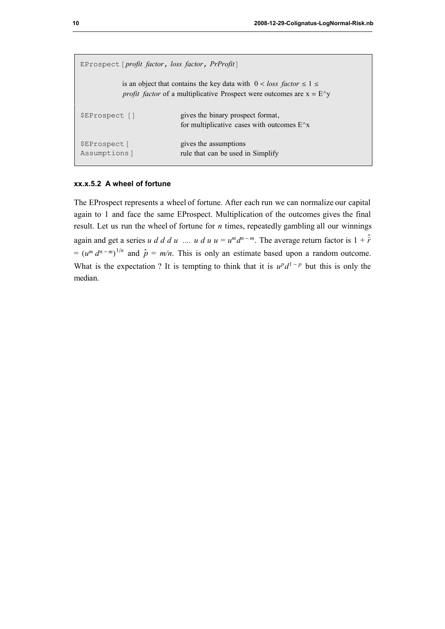| EProspect [profit factor, loss factor, PrProfit]                                                                                                              |                                                                                           |  |
|---------------------------------------------------------------------------------------------------------------------------------------------------------------|-------------------------------------------------------------------------------------------|--|
| is an object that contains the key data with $0 < loss$ factor $\leq 1 \leq$<br><i>profit factor</i> of a multiplicative Prospect were outcomes are $x = E^y$ |                                                                                           |  |
| \$EProspect []                                                                                                                                                | gives the binary prospect format,<br>for multiplicative cases with outcomes $E^{\wedge}x$ |  |
| <b>SEProspect</b> [<br>Assumptions]                                                                                                                           | gives the assumptions<br>rule that can be used in Simplify                                |  |

# xx.x.5.2 A wheel of fortune

The EProspect represents a wheel of fortune. After each run we can normalize our capital again to 1 and face the same EProspect. Multiplication of the outcomes gives the final result. Let us run the wheel of fortune for  $n$  times, repeatedly gambling all our winnings again and get a series u d d d u .... u d u u =  $u^m d^{n-m}$ . The average return factor is  $1 + \hat{r}$  $= (u^m d^{n-m})^{1/n}$  and  $\hat{p} = m/n$ . This is only an estimate based upon a random outcome. What is the expectation ? It is tempting to think that it is  $u^p d^{1-p}$  but this is only the median.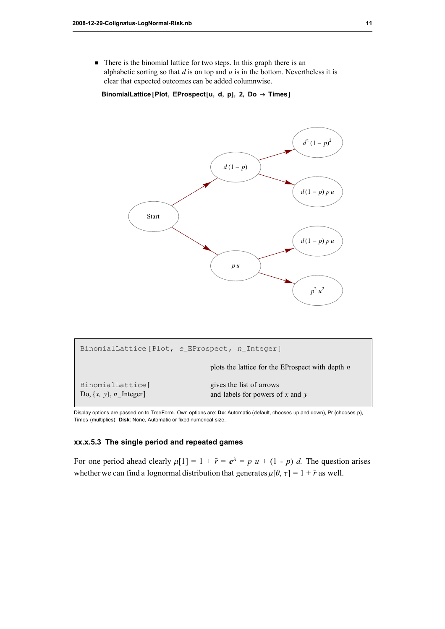$\blacksquare$  There is the binomial lattice for two steps. In this graph there is an alphabetic sorting so that  $d$  is on top and  $u$  is in the bottom. Nevertheless it is clear that expected outcomes can be added columnwise.

BinomialLattice [Plot, EProspect [u, d, p], 2, Do  $\rightarrow$  Times]



|                                                        | BinomialLattice [Plot, e EProspect, n Integer]                   |
|--------------------------------------------------------|------------------------------------------------------------------|
|                                                        | plots the lattice for the EProspect with depth $n$               |
| BinomialLattice<br>Do, $\{x, y\}$ , <i>n</i> _Integer] | gives the list of arrows<br>and labels for powers of $x$ and $y$ |

Display options are passed on to TreeForm. Own options are: Do: Automatic (default, chooses up and down), Pr (chooses p), Times (multiplies); Disk: None, Automatic or fixed numerical size.

# xx.x.5.3 The single period and repeated games

For one period ahead clearly  $\mu[1] = 1 + \bar{r} = e^{\lambda} = p u + (1 - p) d$ . The question arises whether we can find a lognormal distribution that generates  $\mu[\theta, \tau] = 1 + \bar{r}$  as well.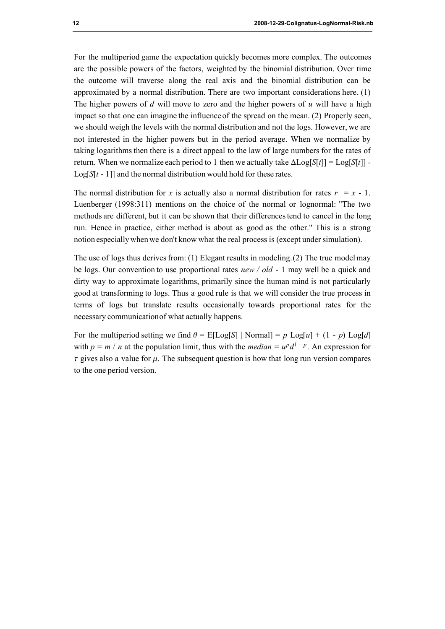For the multiperiod game the expectation quickly becomes more complex. The outcomes are the possible powers of the factors, weighted by the binomial distribution. Over time the outcome will traverse along the real axis and the binomial distribution can be approximated by a normal distribution. There are two important considerations here. (1) The higher powers of  $d$  will move to zero and the higher powers of  $u$  will have a high impact so that one can imagine the influence of the spread on the mean. (2) Properly seen, we should weigh the levels with the normal distribution and not the logs. However, we are not interested in the higher powers but in the period average. When we normalize by taking logarithms then there is a direct appeal to the law of large numbers for the rates of return. When we normalize each period to 1 then we actually take  $\Delta Log[S[t]] = Log[S[t]]$  - $Log[S[t - 1]]$  and the normal distribution would hold for these rates.

The normal distribution for x is actually also a normal distribution for rates  $r = x - 1$ . Luenberger (1998:311) mentions on the choice of the normal or lognormal: "The two methods are different, but it can be shown that their differences tend to cancel in the long run. Hence in practice, either method is about as good as the other." This is a strong notion especially when we don't know what the real process is (except under simulation).

The use of logs thus derives from: (1) Elegant results in modeling. (2) The true model may be logs. Our convention to use proportional rates *new / old* - 1 may well be a quick and dirty way to approximate logarithms, primarily since the human mind is not particularly good at transforming to logs. Thus a good rule is that we will consider the true process in terms of logs but translate results occasionally towards proportional rates for the necessary communication of what actually happens.

For the multiperiod setting we find  $\theta = E[Log[S] \mid Normal] = p Log[u] + (1 - p) Log[d]$ with  $p = m / n$  at the population limit, thus with the *median* =  $u^p d^{1-p}$ . An expression for  $\tau$  gives also a value for  $\mu$ . The subsequent question is how that long run version compares to the one period version.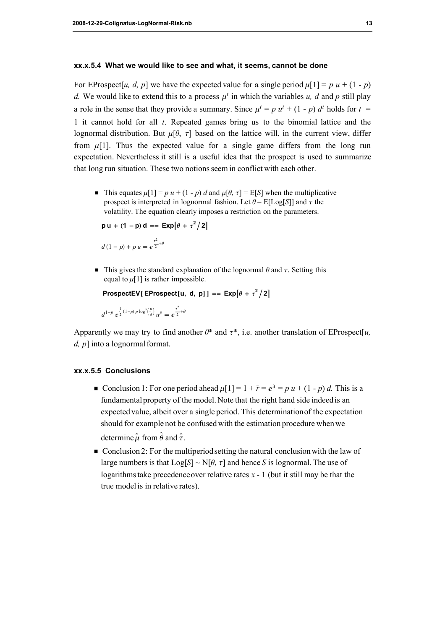# xx.x.5.4 What we would like to see and what, it seems, cannot be done

For EProspect[u, d, p] we have the expected value for a single period  $\mu[1] = p u + (1 - p)$ d. We would like to extend this to a process  $\mu^t$  in which the variables u, d and p still play a role in the sense that they provide a summary. Since  $\mu^t = p u^t + (1 - p) d^t$  holds for  $t =$ 1 it cannot hold for all  $t$ . Repeated games bring us to the binomial lattice and the lognormal distribution. But  $\mu[\theta, \tau]$  based on the lattice will, in the current view, differ from  $\mu$ [1]. Thus the expected value for a single game differs from the long run expectation. Nevertheless it still is a useful idea that the prospect is used to summarize that long run situation. These two notions seem in conflict with each other.

• This equates  $\mu[1] = p u + (1 - p) d$  and  $\mu[\theta, \tau] = E[S]$  when the multiplicative prospect is interpreted in lognormal fashion. Let  $\theta = E[Log[S]]$  and  $\tau$  the volatility. The equation clearly imposes a restriction on the parameters.

```
pu + (1 - p)d == Exp[\theta + \tau^2/2]d (1 - p) + p u = e^{\frac{\tau^2}{2}}\overline{z}^{+\theta}
```
 $\blacksquare$  This gives the standard explanation of the lognormal  $\theta$  and  $\tau$ . Setting this equal to  $\mu$ [1] is rather impossible.

```
ProspectEV [ EProspect [u, d, p] ] == \exp[\theta + \tau^2/2]d^{1-p}e^{\frac{1}{2}}Å
              \frac{1}{2} (1-p) p log<sup>2</sup>\left(\frac{u}{d}\right)\int_{d}^{u} u^{p} = e^{\frac{\tau^{2}}{2}}\frac{1}{2}+\theta
```
Apparently we may try to find another  $\theta^*$  and  $\tau^*$ , i.e. another translation of EProspect[u,  $d, p$ ] into a lognormal format.

# xx.x.5.5 Conclusions

- Conclusion 1: For one period ahead  $\mu[1] = 1 + \bar{r} = e^{\lambda} = p u + (1 p) d$ . This is a fundamental property of the model. Note that the right hand side indeed is an expected value, albeit over a single period. This determination of the expectation should for example not be confused with the estimation procedure when we determine  $\hat{\mu}$  from  $\hat{\theta}$  $\overline{a}$ and  $\hat{\tau}$ .
	- $\blacksquare$  Conclusion 2: For the multiperiod setting the natural conclusion with the law of large numbers is that  $Log[S] \sim N[\theta, \tau]$  and hence S is lognormal. The use of logarithms take precedence over relative rates  $x - 1$  (but it still may be that the true model is in relative rates).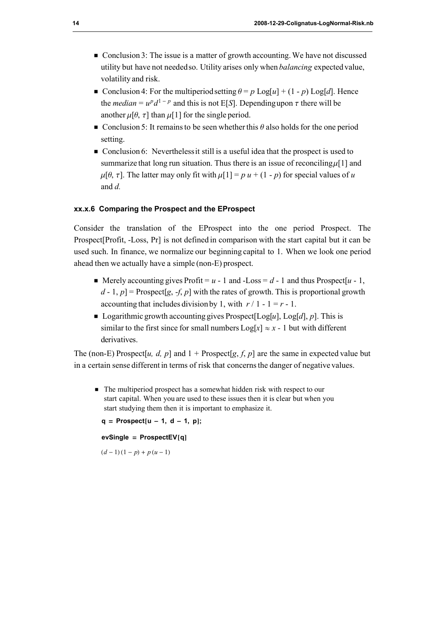- $\blacksquare$  Conclusion 3: The issue is a matter of growth accounting. We have not discussed utility but have not needed so. Utility arises only when balancing expected value, volatility and risk.
- Conclusion 4: For the multiperiod setting  $\theta = p$  Log[u] + (1 p) Log[d]. Hence the *median* =  $u^p d^{1-p}$  and this is not E[S]. Depending upon  $\tau$  there will be another  $\mu[\theta, \tau]$  than  $\mu[1]$  for the single period.
- $\blacksquare$  Conclusion 5: It remains to be seen whether this  $\theta$  also holds for the one period setting.
- Conclusion 6: Nevertheless it still is a useful idea that the prospect is used to summarize that long run situation. Thus there is an issue of reconciling  $\mu[1]$  and  $\mu[\theta, \tau]$ . The latter may only fit with  $\mu[1] = p u + (1 - p)$  for special values of u and d.

# xx.x.6 Comparing the Prospect and the EProspect

Consider the translation of the EProspect into the one period Prospect. The Prospect[Profit, -Loss, Pr] is not defined in comparison with the start capital but it can be used such. In finance, we normalize our beginning capital to 1. When we look one period ahead then we actually have a simple (non-E) prospect.

- Merely accounting gives Profit =  $u 1$  and -Loss =  $d 1$  and thus Prospect  $[u 1]$ ,  $d - 1$ ,  $p$ ] = Prospect[g, -f, p] with the rates of growth. This is proportional growth accounting that includes division by 1, with  $r/1 - 1 = r - 1$ .
- $\blacksquare$  Logarithmic growth accounting gives Prospect[Log[u], Log[d], p]. This is similar to the first since for small numbers  $Log[x] \approx x - 1$  but with different derivatives.

The (non-E) Prospect[u, d, p] and  $1 +$  Prospect[g, f, p] are the same in expected value but in a certain sense different in terms of risk that concerns the danger of negative values.

 $\blacksquare$  The multiperiod prospect has a somewhat hidden risk with respect to our start capital. When you are used to these issues then it is clear but when you start studying them then it is important to emphasize it.

 $q =$  Prospect $[u - 1, d - 1, p]$ ;

 $evSingle = ProspectEV[q]$ 

 $(d-1) (1-p) + p (u - 1)$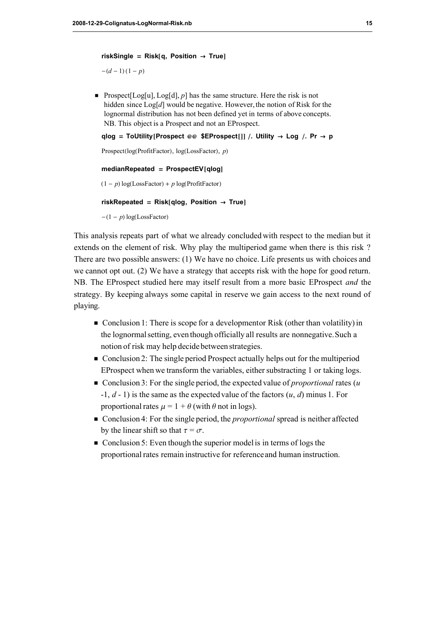#### riskSingle = Risk[q, Position  $\rightarrow$  True]

 $-(d - 1)(1 - p)$ 

**•** Prospect[Log[u], Log[d], p] has the same structure. Here the risk is not hidden since  $Log[d]$  would be negative. However, the notion of Risk for the lognormal distribution has not been defined yet in terms of above concepts. NB. This object is a Prospect and not an EProspect.

```
alog = ToUtility [Prospect @@ $EProspect []] /, Utility \rightarrow Log /, Pr \rightarrow p
```
Prospect( $log(ProfitFactor)$ ,  $log(LossFactor)$ , p)

```
medianRepeated = ProspectEV[qloq](1 - p) \log(\text{LossFactor}) + p \log(\text{ProfitFactor})riskRepeated = Risk[qlog, Position \rightarrow True]
-(1 - p) \log(\text{LossFactor})
```
This analysis repeats part of what we already concluded with respect to the median but it extends on the element of risk. Why play the multiperiod game when there is this risk ? There are two possible answers: (1) We have no choice. Life presents us with choices and we cannot opt out. (2) We have a strategy that accepts risk with the hope for good return. NB. The EProspect studied here may itself result from a more basic EProspect and the strategy. By keeping always some capital in reserve we gain access to the next round of playing.

- $\blacksquare$  Conclusion 1: There is scope for a development or Risk (other than volatility) in the lognormal setting, even though officially all results are nonnegative. Such a notion of risk may help decide between strategies.
- $\blacksquare$  Conclusion 2: The single period Prospect actually helps out for the multiperiod EProspect when we transform the variables, either substracting 1 or taking logs.
- $\blacksquare$  Conclusion 3: For the single period, the expected value of *proportional* rates (u -1,  $d$  - 1) is the same as the expected value of the factors  $(u, d)$  minus 1. For proportional rates  $\mu = 1 + \theta$  (with  $\theta$  not in logs).
- $\blacksquare$  Conclusion 4: For the single period, the *proportional* spread is neither affected by the linear shift so that  $\tau = \sigma$ .
- $\blacksquare$  Conclusion 5: Even though the superior model is in terms of logs the proportional rates remain instructive for reference and human instruction.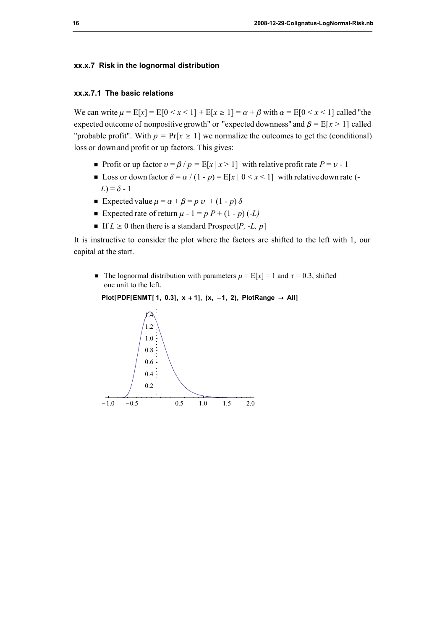# xx.x.7 Risk in the lognormal distribution

# xx.x.7.1 The basic relations

We can write  $\mu = E[x] = E[0 \le x \le 1] + E[x \ge 1] = \alpha + \beta$  with  $\alpha = E[0 \le x \le 1]$  called "the expected outcome of nonpositive growth" or "expected downness" and  $\beta = E[x > 1]$  called "probable profit". With  $p = Pr[x \ge 1]$  we normalize the outcomes to get the (conditional) loss or down and profit or up factors. This gives:

- Profit or up factor  $v = \beta / p = E[x | x > 1]$  with relative profit rate  $P = v 1$
- Loss or down factor  $\delta = \alpha / (1 p) = E[x | 0 < x < 1]$  with relative down rate (- $L$ ) =  $\delta$  - 1
- Expected value  $\mu = \alpha + \beta = p v + (1 p) \delta$
- Expected rate of return  $\mu 1 = p P + (1 p) (-L)$
- $\blacksquare$  If  $L \geq 0$  then there is a standard Prospect[*P*, -*L*, *p*]

It is instructive to consider the plot where the factors are shifted to the left with 1, our capital at the start.

• The lognormal distribution with parameters  $\mu = E[x] = 1$  and  $\tau = 0.3$ , shifted one unit to the left.

# Plot[PDF[ENMT[1, 0.3],  $x + 1$ ],  $\{x, -1, 2\}$ , PlotRange  $\rightarrow$  All]

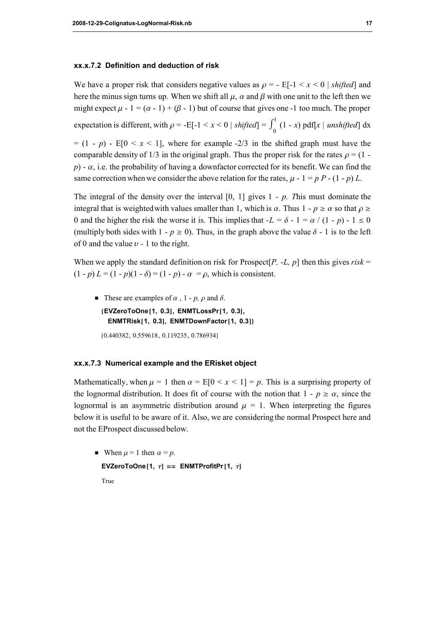# xx.x.7.2 Definition and deduction of risk

We have a proper risk that considers negative values as  $\rho = -E[-1 \le x \le 0]$  shifted and here the minus sign turns up. When we shift all  $\mu$ ,  $\alpha$  and  $\beta$  with one unit to the left then we might expect  $\mu$  - 1 = ( $\alpha$  - 1) + ( $\beta$  - 1) but of course that gives one -1 too much. The proper expectation is different, with  $\rho = -E[-1 \le x \le 0 \mid shifted] = \int_{0}^{1}$  $\int_0^{\pi} (1-x) \operatorname{pdf}[x \mid unshifted] dx$  $= (1 - p) - E[0 < x < 1]$ , where for example -2/3 in the shifted graph must have the comparable density of 1/3 in the original graph. Thus the proper risk for the rates  $\rho = (1$  $p$ ) -  $\alpha$ , i.e. the probability of having a downfactor corrected for its benefit. We can find the same correction when we consider the above relation for the rates,  $\mu - 1 = p P - (1 - p) L$ .

The integral of the density over the interval  $[0, 1]$  gives  $1 - p$ . This must dominate the integral that is weighted with values smaller than 1, which is  $\alpha$ . Thus  $1 - p \ge \alpha$  so that  $\rho \ge$ 0 and the higher the risk the worse it is. This implies that  $-L = \delta - 1 = \alpha / (1 - p) - 1 \le 0$ (multiply both sides with  $1 - p \ge 0$ ). Thus, in the graph above the value  $\delta$  - 1 is to the left of 0 and the value  $\nu$  - 1 to the right.

When we apply the standard definition on risk for Prospect  $[P, -L, p]$  then this gives risk =  $(1-p) L = (1-p)(1-\delta) = (1-p) - \alpha = \rho$ , which is consistent.

• These are examples of  $\alpha$ , 1 - p,  $\rho$  and  $\delta$ .

{EVZeroToOne[1, 0.3], ENMTLossPr[1, 0.3], ENMTRisk [1, 0.3], ENMTDownFactor [1, 0.3]}

80.440382, 0.559618, 0.119235, 0.786934<

# xx.x.7.3 Numerical example and the ERisket object

Mathematically, when  $\mu = 1$  then  $\alpha = E[0 \le x \le 1] = p$ . This is a surprising property of the lognormal distribution. It does fit of course with the notion that  $1 - p \ge \alpha$ , since the lognormal is an asymmetric distribution around  $\mu = 1$ . When interpreting the figures below it is useful to be aware of it. Also, we are considering the normal Prospect here and not the EProspect discussed below.

```
• When \mu = 1 then \alpha = p.
  EVZeroToOne [1, \tau] == ENMTProfitPr [1, \tau]
```
True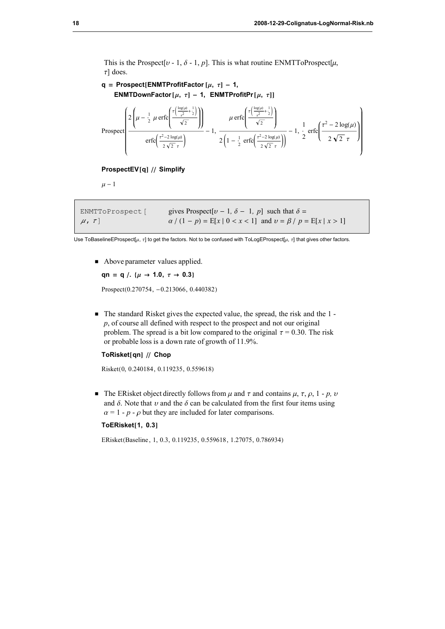This is the Prospect $[v - 1, \delta - 1, p]$ . This is what routine ENMTToProspect $[\mu,$  $\tau$ ] does.

```
q = Prospect [ENMTProfitFactor [\mu, \tau] - 1,
    ENMTDownFactor [\mu, \tau] - 1, ENMTProfitPr [\mu, \tau]]
```

$$
\text{Prospect}\left(\frac{2\left(\mu-\frac{1}{2}\mu\,\text{erfc}\left(\frac{\tau\left(\frac{\log(\mu)}{\tau^2}+\frac{1}{2}\right)}{\sqrt{2}}\right)\right)}{\text{erfc}\left(\frac{\tau^2-2\log(\mu)}{2\sqrt{2}\tau}\right)}-1,\frac{\mu\,\text{erfc}\left(\frac{\tau\left(\frac{\log(\mu)}{\tau^2}+\frac{1}{2}\right)}{\sqrt{2}}\right)}{2\left(1-\frac{1}{2}\text{erfc}\left(\frac{\tau^2-2\log(\mu)}{2\sqrt{2}\tau}\right)\right)}-1,\frac{1}{2}\text{erfc}\left(\frac{\tau^2-2\log(\mu)}{2\sqrt{2}\tau}\right)\right)}\right)
$$

#### ProspectEV[q] // Simplify

 $\mu - 1$ 

```
ENMTToProspect [
\mu, \tau]
                                gives Prospect[v - 1, \delta - 1, p] such that \delta =\alpha / (1 - p) = E[x | 0 < x < 1] and \nu = \beta / p = E[x | x > 1]
```
Use ToBaselineEProspect[ $\mu$ ,  $\tau$ ] to get the factors. Not to be confused with ToLogEProspect[ $\mu$ ,  $\tau$ ] that gives other factors.

■ Above parameter values applied.

```
qn = q /. \{\mu \rightarrow 1.0, \tau \rightarrow 0.3\}
```
Prospect(0.270754, -0.213066, 0.440382)

■ The standard Risket gives the expected value, the spread, the risk and the 1  $p$ , of course all defined with respect to the prospect and not our original problem. The spread is a bit low compared to the original  $\tau = 0.30$ . The risk or probable loss is a down rate of growth of 11.9%.

#### ToRisket[qn] // Chop

```
Risket(0, 0.240184, 0.119235, 0.559618)
```
 $\blacksquare$  The ERisket object directly follows from  $\mu$  and  $\tau$  and contains  $\mu$ ,  $\tau$ ,  $\rho$ , 1 - p, v and  $\delta$ . Note that  $v$  and the  $\delta$  can be calculated from the first four items using  $\alpha = 1 - p - \rho$  but they are included for later comparisons.

# ToERisket $[1, 0.3]$

ERisket(Baseline, 1, 0.3, 0.119235, 0.559618, 1.27075, 0.786934)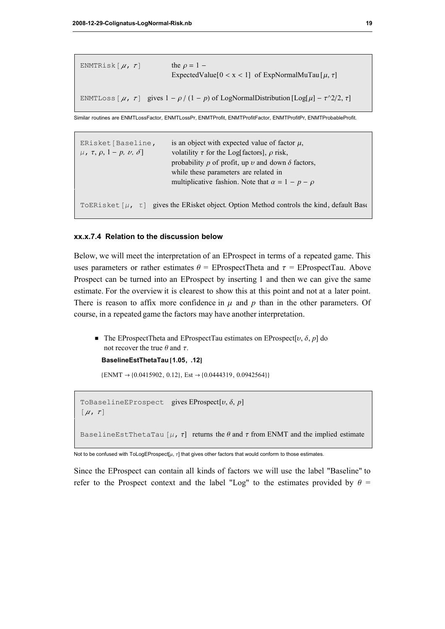EMMTRisk 
$$
[\mu, \tau]
$$
 the  $\rho = 1 -$ 

\nExpectedValue  $[0 < x < 1]$  of ExpNormalM (µ,  $\tau$ )

\nEMMTDoss  $[\mu, \tau]$  gives  $1 - \rho / (1 - p)$  of LogNormalDistribution  $[Log[\mu] - \tau^2/2, \tau]$ 

Similar routines are ENMTLossFactor, ENMTLossPr, ENMTProfit, ENMTProfitFactor, ENMTProfitPr, ENMTProbableProfit.

| ERisket [Baseline,<br>$\mu$ , $\tau$ , $\rho$ , $1 - p$ , $\nu$ , $\delta$ ] | is an object with expected value of factor $\mu$ ,<br>volatility $\tau$ for the Log[factors], $\rho$ risk,<br>probability p of profit, up v and down $\delta$ factors,<br>while these parameters are related in<br>multiplicative fashion. Note that $\alpha = 1 - p - \rho$ |
|------------------------------------------------------------------------------|------------------------------------------------------------------------------------------------------------------------------------------------------------------------------------------------------------------------------------------------------------------------------|
|                                                                              | TOERisket $[\mu, \tau]$ gives the ERisket object. Option Method controls the kind, default Base                                                                                                                                                                              |

## xx.x.7.4 Relation to the discussion below

Below, we will meet the interpretation of an EProspect in terms of a repeated game. This uses parameters or rather estimates  $\theta$  = EProspectTheta and  $\tau$  = EProspectTau. Above Prospect can be turned into an EProspect by inserting 1 and then we can give the same estimate. For the overview it is clearest to show this at this point and not at a later point. There is reason to affix more confidence in  $\mu$  and  $p$  than in the other parameters. Of course, in a repeated game the factors may have another interpretation.

 $\blacksquare$  The EProspectTheta and EProspectTau estimates on EProspect $[v, \delta, p]$  do not recover the true  $\theta$  and  $\tau$ .

```
BaselineEstThetaTau [1.05, .12]
```
 $\{ENMT \rightarrow \{0.0415902, 0.12\}, \text{Est} \rightarrow \{0.0444319, 0.0942564\}\}\$ 

```
ToBaselineEProspect gives EProspect[v, \delta, p][\mu, \tau]
```

```
BaselineEstThetaTau [\mu, \tau] returns the \theta and \tau from ENMT and the implied estimate
```

```
Not to be confused with ToLogEProspect[\mu, \tau] that gives other factors that would conform to those estimates.
```
Since the EProspect can contain all kinds of factors we will use the label "Baseline" to refer to the Prospect context and the label "Log" to the estimates provided by  $\theta$  =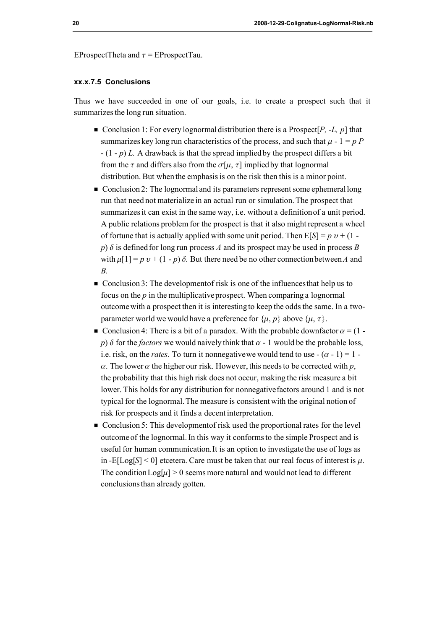EProspectTheta and  $\tau$  = EProspectTau.

# xx.x.7.5 Conclusions

Thus we have succeeded in one of our goals, i.e. to create a prospect such that it summarizes the long run situation.

- Conclusion 1: For every lognormal distribution there is a Prospect  $[P, -L, p]$  that summarizes key long run characteristics of the process, and such that  $\mu - 1 = p P$  $-(1-p) L$ . A drawback is that the spread implied by the prospect differs a bit from the  $\tau$  and differs also from the  $\sigma[\mu, \tau]$  implied by that lognormal distribution. But when the emphasis is on the risk then this is a minor point.
- $\blacksquare$  Conclusion 2: The lognormal and its parameters represent some ephemeral long run that need not materialize in an actual run or simulation. The prospect that summarizes it can exist in the same way, i.e. without a definition of a unit period. A public relations problem for the prospect is that it also might represent a wheel of fortune that is actually applied with some unit period. Then  $E[S] = p v + (1$ p)  $\delta$  is defined for long run process A and its prospect may be used in process B with  $\mu[1] = p v + (1 - p) \delta$ . But there need be no other connection between A and B.
- $\blacksquare$  Conclusion 3: The development of risk is one of the influences that help us to focus on the  $p$  in the multiplicative prospect. When comparing a lognormal outcome with a prospect then it is interesting to keep the odds the same. In a twoparameter world we would have a preference for  $\{\mu, p\}$  above  $\{\mu, \tau\}$ .
- Conclusion 4: There is a bit of a paradox. With the probable downfactor  $\alpha = (1$ p)  $\delta$  for the *factors* we would naively think that  $\alpha$  - 1 would be the probable loss, i.e. risk, on the *rates*. To turn it nonnegative we would tend to use  $-(\alpha - 1) = 1$ .  $\alpha$ . The lower  $\alpha$  the higher our risk. However, this needs to be corrected with p, the probability that this high risk does not occur, making the risk measure a bit lower. This holds for any distribution for nonnegative factors around 1 and is not typical for the lognormal. The measure is consistent with the original notion of risk for prospects and it finds a decent interpretation.
- $\blacksquare$  Conclusion 5: This development of risk used the proportional rates for the level outcome of the lognormal. In this way it conforms to the simple Prospect and is useful for human communication. It is an option to investigate the use of logs as in -E[Log[S] < 0] etcetera. Care must be taken that our real focus of interest is  $\mu$ . The condition  $Log[\mu] > 0$  seems more natural and would not lead to different conclusions than already gotten.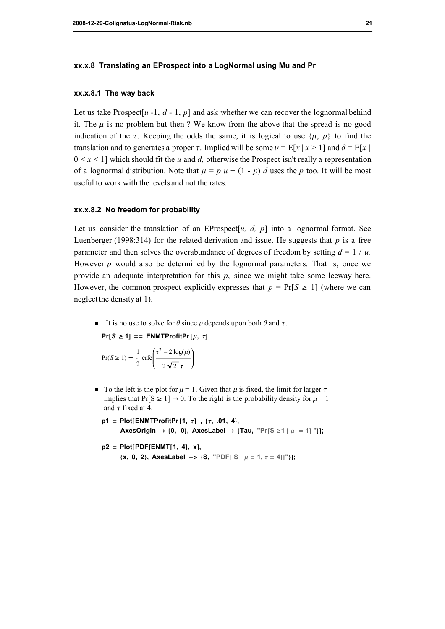# xx.x.8 Translating an EProspect into a LogNormal using Mu and Pr

# xx.x.8.1 The way back

Let us take Prospect[u -1,  $d - 1$ , p] and ask whether we can recover the lognormal behind it. The  $\mu$  is no problem but then ? We know from the above that the spread is no good indication of the  $\tau$ . Keeping the odds the same, it is logical to use  $\{\mu, p\}$  to find the translation and to generates a proper  $\tau$ . Implied will be some  $v = E[x | x > 1]$  and  $\delta = E[x]$  $0 \le x \le 1$  which should fit the u and d, otherwise the Prospect isn't really a representation of a lognormal distribution. Note that  $\mu = p u + (1 - p) d$  uses the p too. It will be most useful to work with the levels and not the rates.

# xx.x.8.2 No freedom for probability

Let us consider the translation of an EProspect  $[u, d, p]$  into a lognormal format. See Luenberger (1998:314) for the related derivation and issue. He suggests that  $p$  is a free parameter and then solves the overabundance of degrees of freedom by setting  $d = 1 / u$ . However  $p$  would also be determined by the lognormal parameters. That is, once we provide an adequate interpretation for this  $p$ , since we might take some leeway here. However, the common prospect explicitly expresses that  $p = Pr[S \ge 1]$  (where we can neglect the density at 1).

■ It is no use to solve for  $\theta$  since p depends upon both  $\theta$  and  $\tau$ .

 $Pr[S \ge 1] == EMTProfit[µ, \tau]$ 

 $Pr(S \ge 1) = \frac{1}{2}$ 2 erfc  $\tau^2$  – 2 log( $\mu$ ) 2  $\sqrt{2}$   $\tau$ 

 $\blacksquare$  To the left is the plot for  $u = 1$ . Given that u is fixed, the limit for larger  $\tau$ implies that  $Pr[S \ge 1] \rightarrow 0$ . To the right is the probability density for  $\mu = 1$ and  $\tau$  fixed at 4.

p1 = Plot[ENMTProfitPr [1,  $\tau$ ],  $\{\tau, .01, 4\}$ , AxesOrigin  $\rightarrow$  {0, 0}, AxesLabel  $\rightarrow$  {Tau, "Pr[S  $\geq$ 1 |  $\mu$  = 1] "}];

 $p2 = Plot[PDF[ENMT[1, 4], x],$  $\{x, 0, 2\},$  AxesLabel ->  $\{S, "PDF[S |  $\mu = 1, \tau = 4$ ]]"}];$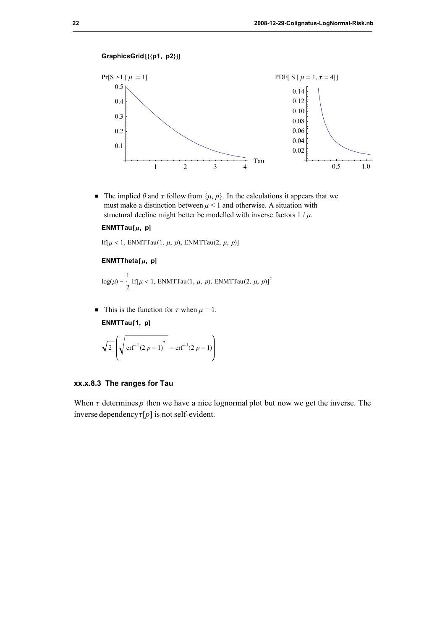# GraphicsGrid [{{p1, p2}}]



 $\blacksquare$  The implied  $\theta$  and  $\tau$  follow from  $\{\mu, p\}$ . In the calculations it appears that we must make a distinction between  $\mu$  < 1 and otherwise. A situation with structural decline might better be modelled with inverse factors  $1/\mu$ .

#### ENMTTau[ $\mu$ , p]

If[ $\mu$  < 1, ENMTTau(1,  $\mu$ , p), ENMTTau(2,  $\mu$ , p)]

#### ENMTTheta $[\mu, p]$

$$
\log(\mu) - \frac{1}{2} \text{ If } [\mu < 1, \text{ ENMTTau}(1, \mu, p), \text{ ENMTTau}(2, \mu, p)]^2
$$

• This is the function for  $\tau$  when  $\mu = 1$ .

 $ENMTTau[1, p]$ 

$$
\sqrt{2}\left(\sqrt{\text{erf}^{-1}(2 p - 1)^2} - \text{erf}^{-1}(2 p - 1)\right)
$$

# xx.x.8.3 The ranges for Tau

When  $\tau$  determines p then we have a nice lognormal plot but now we get the inverse. The inverse dependency  $\tau[p]$  is not self-evident.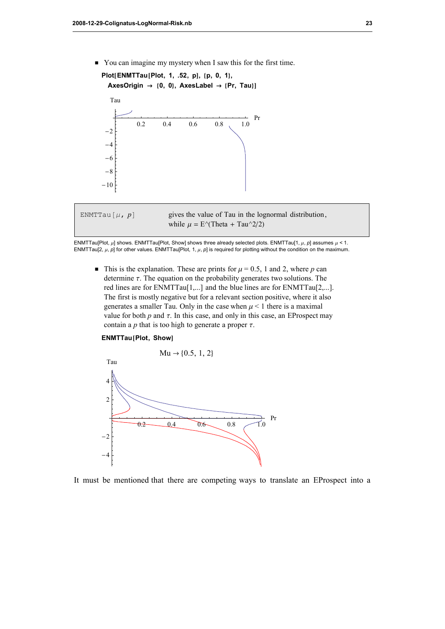$\blacksquare$  You can imagine my mystery when I saw this for the first time.



ENMTTau[Plot,  $\mu$ ] shows. ENMTTau[Plot, Show] shows three already selected plots. ENMTTau[1,  $\mu$ ,  $p$ ] assumes  $\mu$  < 1. ENMTTau[2,  $\mu$ ,  $p$ ] for other values. ENMTTau[Plot, 1,  $\mu$ ,  $p$ ] is required for plotting without the condition on the maximum.

 $\blacksquare$  This is the explanation. These are prints for  $\mu = 0.5$ , 1 and 2, where p can determine  $\tau$ . The equation on the probability generates two solutions. The red lines are for ENMTTau[1,...] and the blue lines are for ENMTTau[2,...]. The first is mostly negative but for a relevant section positive, where it also generates a smaller Tau. Only in the case when  $\mu$  < 1 there is a maximal value for both  $p$  and  $\tau$ . In this case, and only in this case, an EProspect may contain a p that is too high to generate a proper  $\tau$ .

#### ENMTTau [Plot, Show]



It must be mentioned that there are competing ways to translate an EProspect into a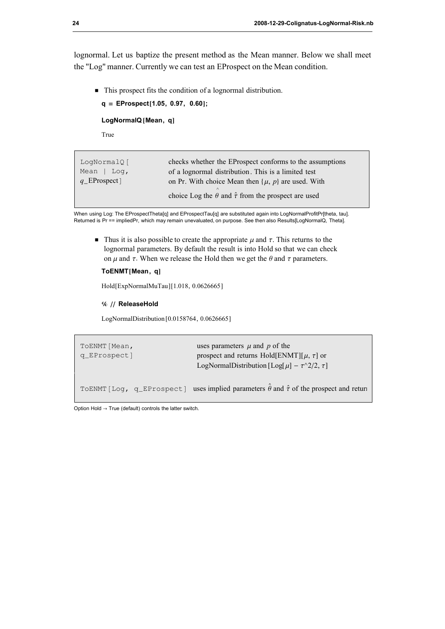lognormal. Let us baptize the present method as the Mean manner. Below we shall meet the "Log" manner. Currently we can test an EProspect on the Mean condition.

 $\blacksquare$  This prospect fits the condition of a lognormal distribution.

```
q = EProspect[1.05, 0.97, 0.60];
```
LogNormalQ [Mean, q]

True

| LogNormalQ [        | checks whether the EProspect conforms to the assumptions            |
|---------------------|---------------------------------------------------------------------|
| Mean $ $ Loq,       | of a lognormal distribution. This is a limited test                 |
| q EProspect $\vert$ | on Pr. With choice Mean then $\{\mu, p\}$ are used. With            |
|                     | choice Log the $\theta$ and $\hat{\tau}$ from the prospect are used |

When using Log: The EProspectTheta[q] and EProspectTau[q] are substituted again into LogNormalProfitPr[theta, tau]. Returned is Pr == impliedPr, which may remain unevaluated, on purpose. See then also Results[LogNormalQ, Theta].

 $\blacksquare$  Thus it is also possible to create the appropriate  $\mu$  and  $\tau$ . This returns to the lognormal parameters. By default the result is into Hold so that we can check on  $\mu$  and  $\tau$ . When we release the Hold then we get the  $\theta$  and  $\tau$  parameters.

# ToENMT [Mean, q]

Hold[ExpNormalMuTau][1.018, 0.0626665]

#### % // ReleaseHold

LogNormalDistribution [0.0158764, 0.0626665]

```
TOENMT [Mean,
q_EProspect]
                                        uses parameters \mu and p of the
                                        prospect and returns Hold[ENMT][\mu, \tau] or
                                       LogNormalDistribution [Log[\mu] - \tau^2/2, \tau]TOENMT [Log, q_EProspect] uses implied parameters \hat{\theta} and \hat{\tau} of the prospect and return
```
Option Hold  $\rightarrow$  True (default) controls the latter switch.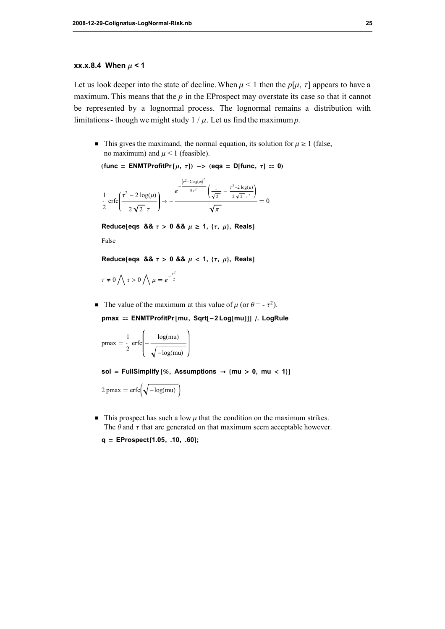# xx.x.8.4 When  $\mu$  < 1

Let us look deeper into the state of decline. When  $\mu$  < 1 then the  $p[\mu, \tau]$  appears to have a maximum. This means that the  $p$  in the EProspect may overstate its case so that it cannot be represented by a lognormal process. The lognormal remains a distribution with limitations - though we might study  $1 / \mu$ . Let us find the maximum p.

• This gives the maximand, the normal equation, its solution for  $\mu \ge 1$  (false, no maximum) and  $\mu$  < 1 (feasible).

(func = ENMTProfitPr $[\mu, \tau]$ ) -> (eqs = D[func,  $\tau$ ] = 0)

$$
\frac{1}{2}\operatorname{erfc}\left(\frac{\tau^2 - 2\log(\mu)}{2\sqrt{2}\ \tau}\right) \to -\frac{e^{-\frac{\left(\tau^2 - 2\log(\mu)\right)^2}{8\tau^2}}\left(\frac{1}{\sqrt{2}} - \frac{\tau^2 - 2\log(\mu)}{2\sqrt{2}\ \tau^2}\right)}{\sqrt{\pi}} = 0
$$

Reduce[eqs &&  $\tau > 0$  &&  $\mu \ge 1$ ,  $\{\tau, \mu\}$ , Reals]

False

Reduce [eqs &&  $\tau > 0$  &&  $\mu < 1$ , { $\tau$ ,  $\mu$ }, Reals]

$$
\tau \neq 0 \bigwedge \tau > 0 \bigwedge \mu = e^{-\frac{\tau^2}{2}}
$$

• The value of the maximum at this value of  $\mu$  (or  $\theta = -\tau^2$ ). pmax == ENMTProfitPr [mu, Sqrt[-2 Log[mu]]] /. LogRule

 $pmax = -$ 2  $erfc$   $\frac{\log(mu)}{\log(mu)}$  $-\log(mu)$ 

sol = FullSimplify [%, Assumptions  $\rightarrow$  {mu > 0, mu < 1}]

 $2 \text{ pmax} = \text{erfc}\left(\sqrt{-\log(\text{mu})}\right)$ 

 $\blacksquare$  This prospect has such a low  $\mu$  that the condition on the maximum strikes. The  $\theta$  and  $\tau$  that are generated on that maximum seem acceptable however.

 $q =$  EProspect[1.05, .10, .60];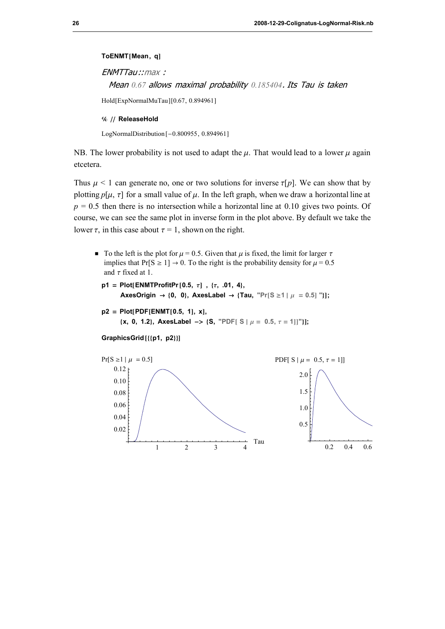# ToENMT[Mean, q] ENMTTau ::max : Mean 0.67 allows maximal probability 0.185404. Its Tau is taken Hold[ExpNormalMuTau][0.67, 0.894961] % // ReleaseHold

LogNormalDistribution  $[-0.800955, 0.894961]$ 

NB. The lower probability is not used to adapt the  $\mu$ . That would lead to a lower  $\mu$  again etcetera.

Thus  $\mu$  < 1 can generate no, one or two solutions for inverse  $\tau[p]$ . We can show that by plotting  $p[\mu, \tau]$  for a small value of  $\mu$ . In the left graph, when we draw a horizontal line at  $p = 0.5$  then there is no intersection while a horizontal line at 0.10 gives two points. Of course, we can see the same plot in inverse form in the plot above. By default we take the lower  $\tau$ , in this case about  $\tau = 1$ , shown on the right.

■ To the left is the plot for  $\mu$  = 0.5. Given that  $\mu$  is fixed, the limit for larger  $\tau$ implies that Pr[S  $\ge$  1]  $\rightarrow$  0. To the right is the probability density for  $\mu$  = 0.5 and  $\tau$  fixed at 1.

```
p1 = Plot[ENMTProfitPr [0.5, \tau], \{\tau, .01, 4\},
       AxesOrigin \rightarrow {0, 0}, AxesLabel \rightarrow {Tau, "Pr[S ≥1 | \mu = 0.5] "}];
```
 $p2 = Plot[PDF[ENMT[0.5, 1], x],$  $\{x, 0, 1.2\},$  AxesLabel ->  $\{S, \text{ "PDF}[S | \mu = 0.5, \tau = 1]]\}$ ;

GraphicsGrid [{{p1, p2}}]

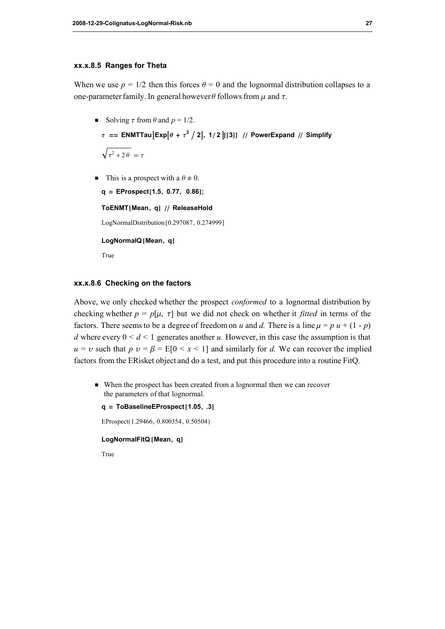# xx.x.8.5 Ranges for Theta

When we use  $p = 1/2$  then this forces  $\theta = 0$  and the lognormal distribution collapses to a one-parameter family. In general however  $\theta$  follows from  $\mu$  and  $\tau$ .

Solving  $\tau$  from  $\theta$  and  $p = 1/2$ .

```
\tau == ENMTTau\big[\mathsf{Exp}[\theta + \tau^2 \mathbin{/} 2],\ 1/2\big][[3]] \mathbin{/}\mathclap{/} PowerExpand \mathbin{/}\mathclap{/} Simplify
```

```
\tau^2 + 2 \theta = \tau
```
**■** This is a prospect with a  $\theta \neq 0$ .

```
q = EProspect[1.5, 0.77, 0.86];
```
ToENMT [Mean, q] // ReleaseHold

```
LogNormalDistribution [0.297087, 0.274999]
```
LogNormalQ [Mean, q]

True

# xx.x.8.6 Checking on the factors

Above, we only checked whether the prospect conformed to a lognormal distribution by checking whether  $p = p[\mu, \tau]$  but we did not check on whether it *fitted* in terms of the factors. There seems to be a degree of freedom on u and d. There is a line  $\mu = p u + (1 - p)$ d where every  $0 \le d \le 1$  generates another u. However, in this case the assumption is that  $u = v$  such that  $p v = \beta = E[0 \le x \le 1]$  and similarly for d. We can recover the implied factors from the ERisket object and do a test, and put this procedure into a routine FitQ.

• When the prospect has been created from a lognormal then we can recover the parameters of that lognormal.

 $q = ToBaselineEProspect[1.05, .3]$ 

EProspect(1.29466, 0.800354, 0.50504)

#### LogNormalFitQ [Mean, q]

True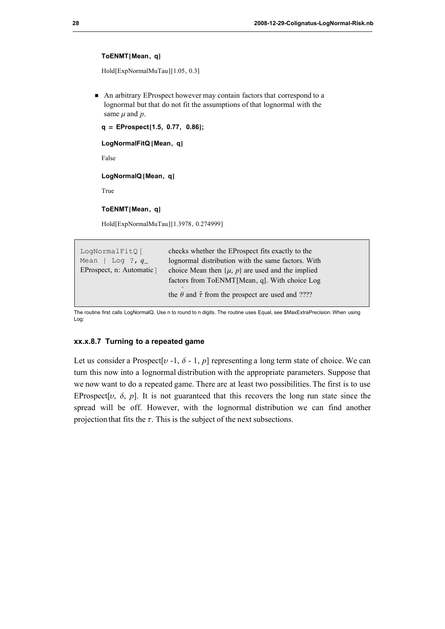#### ToENMT[Mean, q]

Hold[ExpNormalMuTau][1.05, 0.3]

 $\blacksquare$  An arbitrary EProspect however may contain factors that correspond to a lognormal but that do not fit the assumptions of that lognormal with the same  $\mu$  and  $p$ .

 $q =$  EProspect[1.5, 0.77, 0.86];

LogNormalFitQ [Mean, q]

False

LogNormalQ [Mean, q]

True

# ToENMT[Mean, q]

Hold[ExpNormalMuTau][1.3978, 0.274999]

| LogNormalFitQ [<br>  Log ?, $q$<br>Mean<br>EProspect, n: Automatic ] | checks whether the EProspect fits exactly to the<br>lognormal distribution with the same factors. With<br>choice Mean then $\{\mu, p\}$ are used and the implied<br>factors from ToENMT[Mean, q]. With choice Log<br>$\wedge$ |
|----------------------------------------------------------------------|-------------------------------------------------------------------------------------------------------------------------------------------------------------------------------------------------------------------------------|
|                                                                      | the $\theta$ and $\hat{\tau}$ from the prospect are used and ????                                                                                                                                                             |

The routine first calls LogNormalQ. Use n to round to n digits. The routine uses Equal, see \$MaxExtraPrecision. When using Log:

#### xx.x.8.7 Turning to a repeated game

Let us consider a Prospect [ $v$  -1,  $\delta$  -1,  $p$ ] representing a long term state of choice. We can turn this now into a lognormal distribution with the appropriate parameters. Suppose that we now want to do a repeated game. There are at least two possibilities. The first is to use EProspect[ $v$ ,  $\delta$ ,  $p$ ]. It is not guaranteed that this recovers the long run state since the spread will be off. However, with the lognormal distribution we can find another projection that fits the  $\tau$ . This is the subject of the next subsections.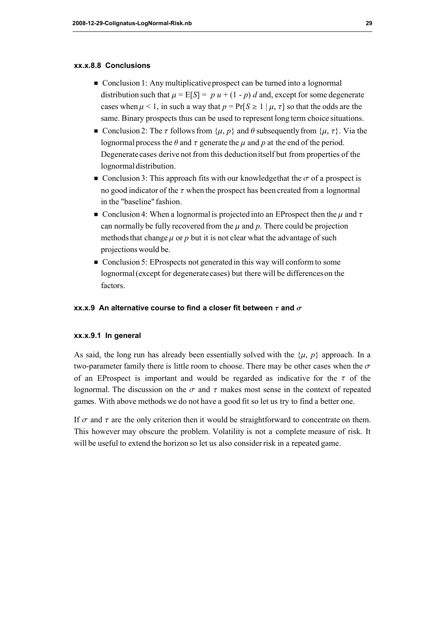# xx.x.8.8 Conclusions

- Conclusion 1: Any multiplicative prospect can be turned into a lognormal distribution such that  $\mu = E[S] = p u + (1 - p) d$  and, except for some degenerate cases when  $\mu$  < 1, in such a way that  $p = Pr[S \ge 1 | \mu, \tau]$  so that the odds are the same. Binary prospects thus can be used to represent long term choice situations.
- Conclusion 2: The  $\tau$  follows from  $\{u, p\}$  and  $\theta$  subsequently from  $\{u, \tau\}$ . Via the lognormal process the  $\theta$  and  $\tau$  generate the  $\mu$  and  $p$  at the end of the period. Degenerate cases derive not from this deduction itself but from properties of the lognormal distribution.
- Conclusion 3: This approach fits with our knowledge that the  $\sigma$  of a prospect is no good indicator of the  $\tau$  when the prospect has been created from a lognormal in the "baseline" fashion.
- Conclusion 4: When a lognormal is projected into an EProspect then the  $\mu$  and  $\tau$ can normally be fully recovered from the  $\mu$  and  $p$ . There could be projection methods that change  $\mu$  or p but it is not clear what the advantage of such projections would be.
- $\blacksquare$  Conclusion 5: EProspects not generated in this way will conform to some lognormal (except for degenerate cases) but there will be differences on the factors.

# xx.x.9 An alternative course to find a closer fit between  $\tau$  and  $\sigma$

# xx.x.9.1 In general

As said, the long run has already been essentially solved with the  $\{\mu, p\}$  approach. In a two-parameter family there is little room to choose. There may be other cases when the  $\sigma$ of an EProspect is important and would be regarded as indicative for the  $\tau$  of the lognormal. The discussion on the  $\sigma$  and  $\tau$  makes most sense in the context of repeated games. With above methods we do not have a good fit so let us try to find a better one.

If  $\sigma$  and  $\tau$  are the only criterion then it would be straightforward to concentrate on them. This however may obscure the problem. Volatility is not a complete measure of risk. It will be useful to extend the horizon so let us also consider risk in a repeated game.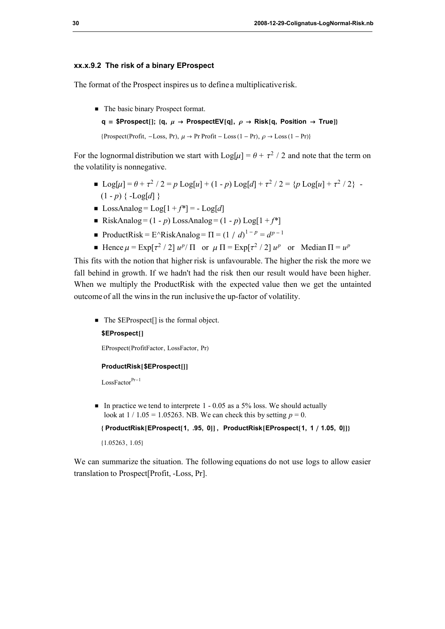# xx.x.9.2 The risk of a binary EProspect

The format of the Prospect inspires us to define a multiplicative risk.

- The basic binary Prospect format.
	- $q = $Prospect[]$ ;  $\{q, \mu \rightarrow Prospect[Fe][q], \rho \rightarrow Risk[q, Position \rightarrow True]\}$

 ${Proofer}(Profit, -Loss, Pr), \mu \rightarrow Pr Profit - Loss(1 - Pr), \rho \rightarrow Loss(1 - Pr)$ 

For the lognormal distribution we start with  $\text{Log}[\mu] = \theta + \tau^2 / 2$  and note that the term on the volatility is nonnegative.

- $\blacksquare$  Log[ $\mu$ ] =  $\theta$  +  $\tau^2$  / 2 =  $p$  Log[ $u$ ] + (1  $p$ ) Log[ $d$ ] +  $\tau^2$  / 2 =  $\{p \text{Log}[u]$  +  $\tau^2$  / 2} - $(1 - p) \{ -Log[d] \}$ 
	- **•** LossAnalog =  $\text{Log}[1 + f^*]$  =  $\text{Log}[d]$
	- RiskAnalog =  $(1 p)$  LossAnalog =  $(1 p)$  Log[ $1 + f^*$ ]
- ProductRisk = E^RiskAnalog =  $\Pi$  =  $(1 / d)^{1-p} = d^{p-1}$
- Hence  $\mu = \text{Exp}[\tau^2 / 2] u^{p}/\Pi$  or  $\mu \Pi = \text{Exp}[\tau^2 / 2] u^{p}$  or Median  $\Pi = u^{p}$

This fits with the notion that higher risk is unfavourable. The higher the risk the more we fall behind in growth. If we hadn't had the risk then our result would have been higher. When we multiply the ProductRisk with the expected value then we get the untainted outcome of all the wins in the run inclusive the up-factor of volatility.

 $\blacksquare$  The \$EProspect[] is the formal object.

## \$EProspect[]

EProspect(ProfitFactor, LossFactor, Pr)

# ProductRisk [\$EProspect[]]

 $LossFactor<sup>Pr-1</sup>$ 

 $\blacksquare$  In practice we tend to interprete 1 - 0.05 as a 5% loss. We should actually look at  $1/1.05 = 1.05263$ . NB. We can check this by setting  $p = 0$ .

{ProductRisk [EProspect[1, .95, 0]], ProductRisk [EProspect[1, 1 / 1.05, 0]]}

81.05263, 1.05<

We can summarize the situation. The following equations do not use logs to allow easier translation to Prospect[Profit, -Loss, Pr].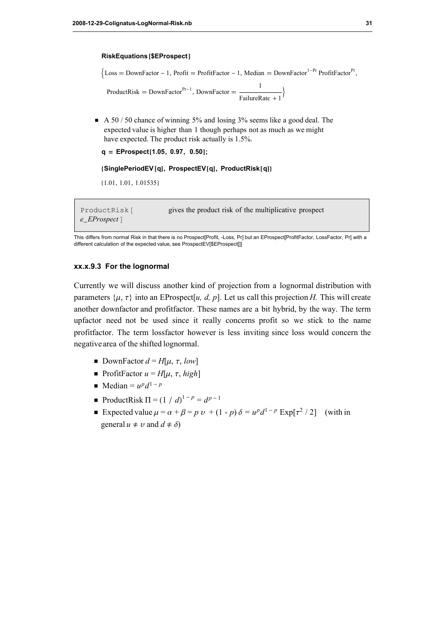#### RiskEquations [\$EProspect]

 $\left\{\text{Loss} = \text{DownFactor} - 1, \text{ Profit} = \text{ProfitFactor} - 1, \text{Median} = \text{DownFactor}^{1-Pr} \text{ProfitFactor}^{Pr},\right\}$ 

ProductRisk DownFactorPr-<sup>1</sup> , DownFactor 1  $\frac{1}{\text{FailureRate } + 1}$ 

■ A 50 / 50 chance of winning 5% and losing 3% seems like a good deal. The expected value is higher than 1 though perhaps not as much as we might have expected. The product risk actually is 1.5%.

```
q = EProspect[1.05, 0.97, 0.50];
```
# {SinglePeriodEV [q], ProspectEV [q], ProductRisk [q]}

 $\{1.01, 1.01, 1.01535\}$ 

```
ProductRisk@
e<sub>_</sub>EProspect \vert
```
gives the product risk of the multiplicative prospect

This differs from normal Risk in that there is no Prospect[Profit, -Loss, Pr] but an EProspect[ProfitFactor, LossFactor, Pr] with a different calculation of the expected value, see ProspectEV[\$EProspect[]]

# xx.x.9.3 For the lognormal

Currently we will discuss another kind of projection from a lognormal distribution with parameters  $\{\mu, \tau\}$  into an EProspect $[u, d, p]$ . Let us call this projection H. This will create another downfactor and profitfactor. These names are a bit hybrid, by the way. The term upfactor need not be used since it really concerns profit so we stick to the name profitfactor. The term lossfactor however is less inviting since loss would concern the negative area of the shifted lognormal.

- **•** DownFactor  $d = H[\mu, \tau, low]$
- ProfitFactor  $u = H[\mu, \tau, high]$
- Median =  $u^p d^{1-p}$
- ProductRisk  $\Pi = (1 / d)^{1-p} = d^{p-1}$
- Expected value  $\mu = \alpha + \beta = p v + (1 p) \delta = u^p d^{1-p} \operatorname{Exp}[\tau^2 / 2]$  (with in general  $u \neq v$  and  $d \neq \delta$ )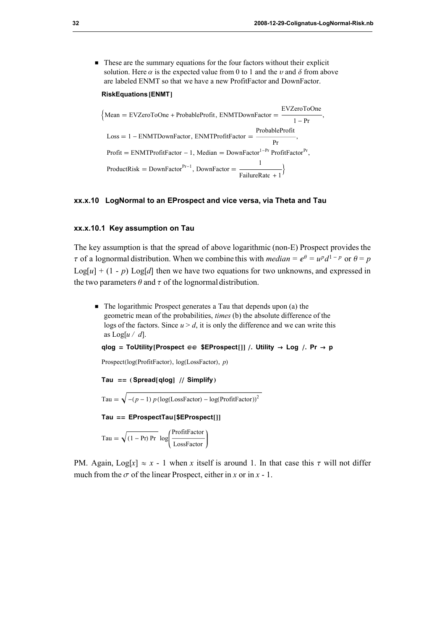$\blacksquare$  These are the summary equations for the four factors without their explicit solution. Here  $\alpha$  is the expected value from 0 to 1 and the v and  $\delta$  from above are labeled ENMT so that we have a new ProfitFactor and DownFactor.

# RiskEquations [ENMT]



# xx.x.10 LogNormal to an EProspect and vice versa, via Theta and Tau

# xx.x.10.1 Key assumption on Tau

The key assumption is that the spread of above logarithmic (non-E) Prospect provides the  $\tau$  of a lognormal distribution. When we combine this with *median* =  $e^{\theta} = u^{\rho} d^{1-\rho}$  or  $\theta = p$  $Log[u] + (1 - p) Log[d]$  then we have two equations for two unknowns, and expressed in the two parameters  $\theta$  and  $\tau$  of the lognormal distribution.

 $\blacksquare$  The logarithmic Prospect generates a Tau that depends upon (a) the geometric mean of the probabilities, times (b) the absolute difference of the logs of the factors. Since  $u > d$ , it is only the difference and we can write this as  $Log[u/d]$ .

```
qlog = ToUtility [Prospect @@ $EProspect []] /. Utility \rightarrow Log /. Pr \rightarrow p
```

```
Prospect(log(ProfitFactor), log(LossFactor), p)
```

```
Tau == (Spread[qlog]/ Simplify)Tau = \sqrt{- (p - 1)} p \left(\log(\text{LossFactor}) - \log(\text{ProfitFactor})\right)^2Tau == EProspectTau[SEProspect[]]Tau = \sqrt{(1 - Pr) Pr} \log \left( \frac{ProfitFactor}{1 - Pr} \right)LossFactor
```
PM. Again,  $Log[x] \approx x - 1$  when x itself is around 1. In that case this  $\tau$  will not differ much from the  $\sigma$  of the linear Prospect, either in x or in x - 1.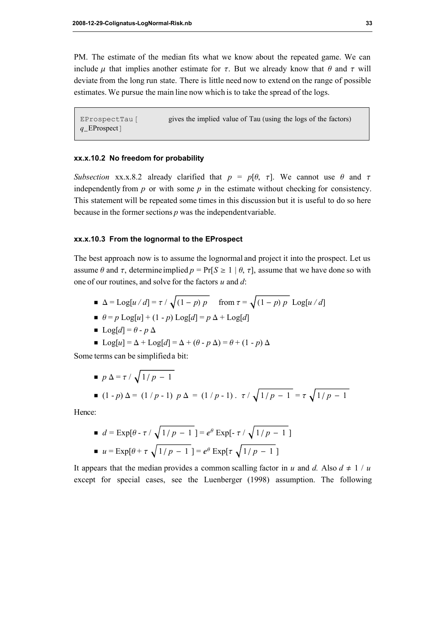PM. The estimate of the median fits what we know about the repeated game. We can include  $\mu$  that implies another estimate for  $\tau$ . But we already know that  $\theta$  and  $\tau$  will deviate from the long run state. There is little need now to extend on the range of possible estimates. We pursue the main line now which is to take the spread of the logs.

EProspectTau [  $q$ \_EProspect] gives the implied value of Tau (using the logs of the factors)

# xx.x.10.2 No freedom for probability

Subsection xx.x.8.2 already clarified that  $p = p[\theta, \tau]$ . We cannot use  $\theta$  and  $\tau$ independently from  $p$  or with some  $p$  in the estimate without checking for consistency. This statement will be repeated some times in this discussion but it is useful to do so here because in the former sections  $p$  was the independent variable.

# xx.x.10.3 From the lognormal to the EProspect

The best approach now is to assume the lognormal and project it into the prospect. Let us assume  $\theta$  and  $\tau$ , determine implied  $p = Pr[S \ge 1 | \theta, \tau]$ , assume that we have done so with one of our routines, and solve for the factors  $u$  and  $d$ :

- $\blacktriangle$  = Log[u / d] =  $\tau$  /  $\sqrt{(1-p) p}$  from  $\tau = \sqrt{(1-p) p}$  Log[u / d]
- $\bullet$   $\theta = p$  Log[u] + (1 p) Log[d] = p  $\Delta$  + Log[d]
- Log[d] =  $\theta$   $p \Delta$
- $\Box$  Log[u] =  $\Delta$  + Log[d] =  $\Delta$  + ( $\theta$   $p \Delta$ ) =  $\theta$  + (1  $p$ )  $\Delta$

Some terms can be simplified a bit:

$$
p \Delta = \tau / \sqrt{1/p - 1}
$$

$$
\bullet (1-p) \Delta = (1/p-1) p \Delta = (1/p-1) . \tau / \sqrt{1/p-1} = \tau \sqrt{1/p-1}
$$

Hence:

$$
d = \operatorname{Exp}[\theta - \tau / \sqrt{1/p - 1}] = e^{\theta} \operatorname{Exp}[-\tau / \sqrt{1/p - 1}]
$$
  

$$
u = \operatorname{Exp}[\theta + \tau \sqrt{1/p - 1}] = e^{\theta} \operatorname{Exp}[\tau \sqrt{1/p - 1}]
$$

It appears that the median provides a common scalling factor in u and d. Also  $d \neq 1/u$ except for special cases, see the Luenberger (1998) assumption. The following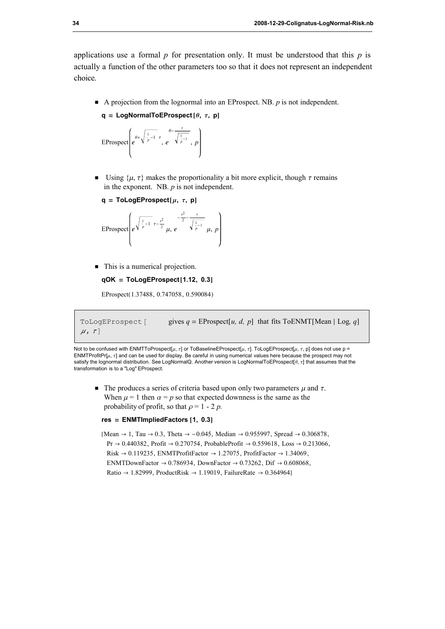applications use a formal  $p$  for presentation only. It must be understood that this  $p$  is actually a function of the other parameters too so that it does not represent an independent choice.

 $\blacksquare$  A projection from the lognormal into an EProspect. NB. p is not independent.

```
q = LogNormalToEProspect \theta, \tau, p]
```


Using  $\{u, \tau\}$  makes the proportionality a bit more explicit, though  $\tau$  remains in the exponent. NB.  $p$  is not independent.

```
q = ToLogEProspect[\mu, \tau, p]
```

$$
\text{EProspect}\left(e^{\sqrt{\frac{1}{p}-1} \tau - \frac{\tau^2}{2}} \mu, e^{-\frac{\tau^2}{2} - \frac{\tau}{\sqrt{\frac{1}{p}-1}}}} \mu, p\right)
$$

 $\blacksquare$  This is a numerical projection.

```
qOK = ToLogEProspect[1.12, 0.3]
```
EProspect(1.37488, 0.747058, 0.590084)

```
ToLogEProspect [
\mu, \tau]
                             gives q = \text{EProspect}[u, d, p] that fits ToENMT[Mean | Log, q]
```
Not to be confused with ENMTToProspect[ $\mu$ ,  $\tau$ ] or ToBaselineEProspect[ $\mu$ ,  $\tau$ ]. ToLogEProspect[ $\mu$ ,  $\tau$ , p] does not use p = ENMTProfitPr[ $\mu$ ,  $\tau$ ] and can be used for display. Be careful in using numerical values here because the prospect may not satisfy the lognormal distribution. See LogNormalQ. Another version is LogNormalToEProspect[ $\theta$ ,  $\tau$ ] that assumes that the transformation is to a "Log" EProspect.

 $\blacksquare$  The produces a series of criteria based upon only two parameters  $\mu$  and  $\tau$ . When  $\mu = 1$  then  $\alpha = p$  so that expected downness is the same as the probability of profit, so that  $\rho = 1 - 2 p$ .

```
res = EMMTImpliedFactors [1, 0.3]
```
{Mean  $\rightarrow$  1, Tau  $\rightarrow$  0.3, Theta  $\rightarrow$  -0.045, Median  $\rightarrow$  0.955997, Spread  $\rightarrow$  0.306878,  $Pr \rightarrow 0.440382$ , Profit  $\rightarrow 0.270754$ , ProbableProfit  $\rightarrow 0.559618$ , Loss  $\rightarrow 0.213066$ , Risk  $\rightarrow$  0.119235, ENMTProfitFactor  $\rightarrow$  1.27075, ProfitFactor  $\rightarrow$  1.34069, ENMTDownFactor  $\rightarrow$  0.786934, DownFactor  $\rightarrow$  0.73262, Dif  $\rightarrow$  0.608068, Ratio  $\rightarrow$  1.82999, ProductRisk  $\rightarrow$  1.19019, FailureRate  $\rightarrow$  0.364964}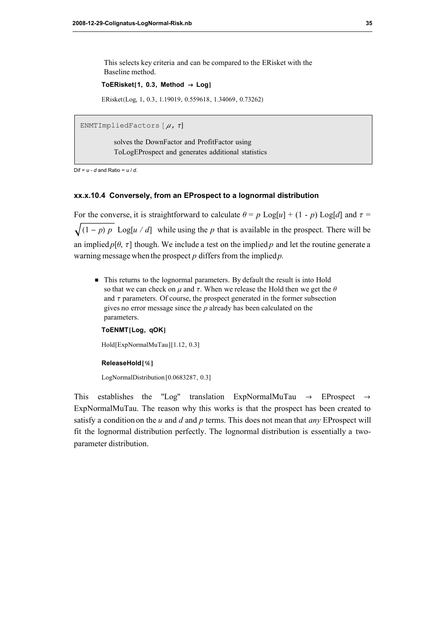This selects key criteria and can be compared to the ERisket with the Baseline method.

ToERisket[1, 0.3, Method  $\rightarrow$  Log]

ERisket(Log, 1, 0.3, 1.19019, 0.559618, 1.34069, 0.73262)

ENMTImpliedFactors  $\lceil \mu, \tau \rceil$ 

solves the DownFactor and ProfitFactor using ToLogEProspect and generates additional statistics

Dif =  $u - d$  and Ratio =  $u/d$ 

# xx.x.10.4 Conversely, from an EProspect to a lognormal distribution

For the converse, it is straightforward to calculate  $\theta = p$  Log[u] + (1 - p) Log[d] and  $\tau =$  $\sqrt{(1-p) p}$  Log[u / d] while using the p that is available in the prospect. There will be an implied  $p[\theta, \tau]$  though. We include a test on the implied p and let the routine generate a warning message when the prospect  $p$  differs from the implied  $p$ .

 $\blacksquare$  This returns to the lognormal parameters. By default the result is into Hold so that we can check on  $\mu$  and  $\tau$ . When we release the Hold then we get the  $\theta$ and  $\tau$  parameters. Of course, the prospect generated in the former subsection gives no error message since the p already has been calculated on the parameters.

# ToENMT[Log, qOK]

Hold[ExpNormalMuTau][1.12, 0.3]

## ReleaseHold<sup>[%]</sup>

LogNormalDistribution  $[0.0683287, 0.3]$ 

This establishes the "Log" translation ExpNormalMuTau  $\rightarrow$  EProspect  $\rightarrow$ ExpNormalMuTau. The reason why this works is that the prospect has been created to satisfy a condition on the  $u$  and  $d$  and  $p$  terms. This does not mean that *any* EProspect will fit the lognormal distribution perfectly. The lognormal distribution is essentially a twoparameter distribution.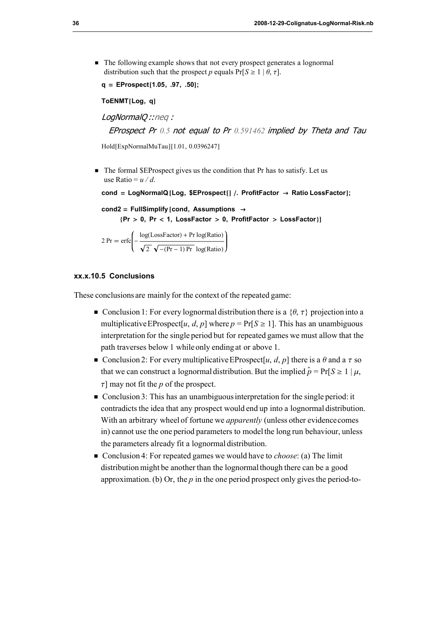• The following example shows that not every prospect generates a lognormal distribution such that the prospect p equals  $Pr[S \ge 1 | \theta, \tau]$ .

 $q =$  EProspect $[1.05, .97, .50]$ ;

## ToENMT[Log, q]

LogNormalQ ::neq :

EProspect Pr 0.5 not equal to Pr 0.591462 implied by Theta and Tau

Hold[ExpNormalMuTau][1.01, 0.0396247]

■ The formal \$EProspect gives us the condition that Pr has to satisfy. Let us use Ratio =  $u/d$ .

```
cond = LogNormalQ [Log, $EProspect [] /. ProfitFactor \rightarrow Ratio LossFactor];
```

```
cond2 = FullSimplify [cond, Assumptions \rightarrow
```
 $\{Pr > 0, Pr < 1, LossFactor > 0, ProfitFactor > LossFactor\}$ 

$$
2\Pr = \text{erfc}\left(-\frac{\log(\text{LossFactor}) + \Pr\log(\text{Ratio})}{\sqrt{2}\sqrt{-(\Pr - 1)\Pr}}\right)
$$

# xx.x.10.5 Conclusions

These conclusions are mainly for the context of the repeated game:

- Conclusion 1: For every lognormal distribution there is a  $\{ \theta, \tau \}$  projection into a multiplicative EProspect[u, d, p] where  $p = Pr[S \ge 1]$ . This has an unambiguous interpretation for the single period but for repeated games we must allow that the path traverses below 1 while only ending at or above 1.
- Conclusion 2: For every multiplicative EProspect[u, d, p] there is a  $\theta$  and a  $\tau$  so that we can construct a lognormal distribution. But the implied  $\hat{p} = Pr[S \ge 1 | \mu,$  $\tau$ ] may not fit the p of the prospect.
- Conclusion 3: This has an unambiguous interpretation for the single period: it contradicts the idea that any prospect would end up into a lognormal distribution. With an arbitrary wheel of fortune we *apparently* (unless other evidence comes in) cannot use the one period parameters to model the long run behaviour, unless the parameters already fit a lognormal distribution.
- $\blacksquare$  Conclusion 4: For repeated games we would have to *choose*: (a) The limit distribution might be another than the lognormal though there can be a good approximation. (b) Or, the  $p$  in the one period prospect only gives the period-to-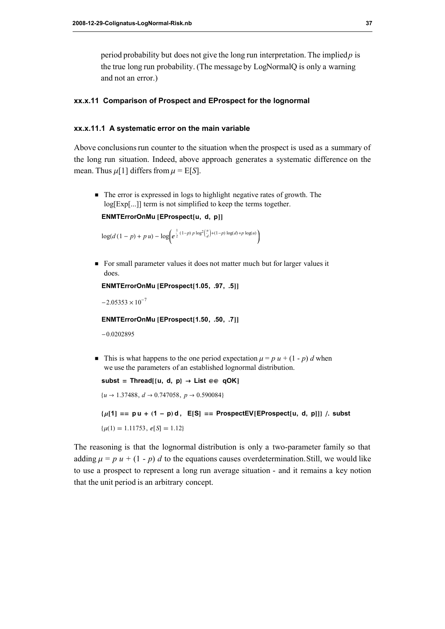period probability but does not give the long run interpretation. The implied  $p$  is the true long run probability. (The message by LogNormalQ is only a warning and not an error.)

# xx.x.11 Comparison of Prospect and EProspect for the lognormal

# xx.x.11.1 A systematic error on the main variable

Above conclusions run counter to the situation when the prospect is used as a summary of the long run situation. Indeed, above approach generates a systematic difference on the mean. Thus  $\mu$ [1] differs from  $\mu$  = E[S].

 $\blacksquare$  The error is expressed in logs to highlight negative rates of growth. The log[Exp[...]] term is not simplified to keep the terms together.

ENMTErrorOnMu [EProspect[u, d, p]]

```
\log(d(1-p) + p u) - \log(e^{\frac{1}{2}(1-p)p \log^2(\frac{u}{d}) + (1-p) \log(d) + p \log(u)})Å
```
• For small parameter values it does not matter much but for larger values it does.

```
ENMTErrorOnMu [EProspect[1.05, .97, .5]]
```
 $-2.05353 \times 10^{-7}$ 

ENMTErrorOnMu [EProspect[1.50, .50, .7]]

-0.0202895

 $\blacksquare$  This is what happens to the one period expectation  $\mu = p u + (1 - p) d$  when we use the parameters of an established lognormal distribution.

```
subst = Thread[{u, d, p} \rightarrow List @@ qOK]
{u \rightarrow 1.37488, d \rightarrow 0.747058, p \rightarrow 0.590084}\{u[1] == Du + (1 - p)d, E[S] == \text{Proof}EV[EProspect[u, d, p]]\}, subst
\{\mu(1) = 1.11753, e[S] = 1.12\}
```
The reasoning is that the lognormal distribution is only a two-parameter family so that adding  $\mu = p u + (1 - p) d$  to the equations causes overdetermination. Still, we would like to use a prospect to represent a long run average situation - and it remains a key notion that the unit period is an arbitrary concept.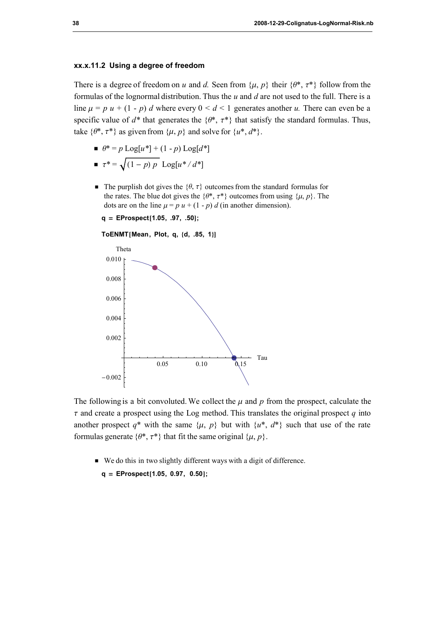# xx.x.11.2 Using a degree of freedom

There is a degree of freedom on u and d. Seen from  $\{\mu, p\}$  their  $\{\theta^*, \tau^*\}$  follow from the formulas of the lognormal distribution. Thus the  $u$  and  $d$  are not used to the full. There is a line  $\mu = p u + (1 - p) d$  where every  $0 \le d \le 1$  generates another u. There can even be a specific value of  $d^*$  that generates the  $\{\theta^*, \tau^*\}$  that satisfy the standard formulas. Thus, take  $\{\theta^*, \tau^*\}$  as given from  $\{\mu, p\}$  and solve for  $\{u^*, d^*\}.$ 

- $\bullet$   $\theta^* = p \text{Log}[u^*] + (1-p) \text{Log}[d^*]$
- $\bullet \tau^* = \sqrt{(1-p) p} \text{Log}[u^* / d^*]$
- $\blacksquare$  The purplish dot gives the  $\{\theta, \tau\}$  outcomes from the standard formulas for the rates. The blue dot gives the  $\{\theta^*, \tau^*\}$  outcomes from using  $\{\mu, p\}$ . The dots are on the line  $\mu = p u + (1 - p) d$  (in another dimension).

 $q =$  EProspect[1.05, .97, .50];





The following is a bit convoluted. We collect the  $\mu$  and p from the prospect, calculate the  $\tau$  and create a prospect using the Log method. This translates the original prospect q into another prospect  $q^*$  with the same  $\{\mu, p\}$  but with  $\{u^*, d^*\}$  such that use of the rate formulas generate  $\{\theta^*, \tau^*\}$  that fit the same original  $\{\mu, p\}$ .

- We do this in two slightly different ways with a digit of difference.
	- $q =$  EProspect[1.05, 0.97, 0.50];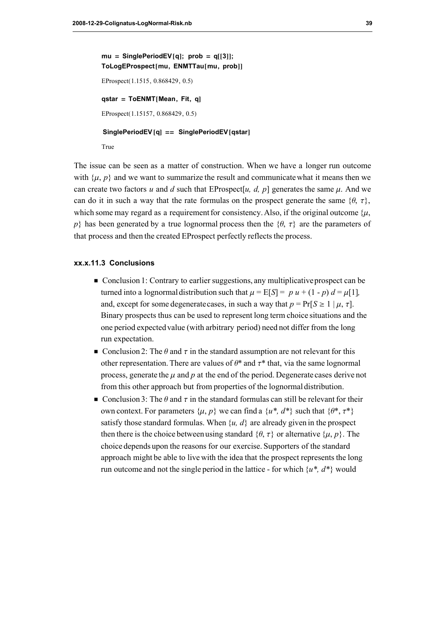mu = SinglePeriodEV $[q]$ ; prob = q $[3]$ ]; ToLogEProspect [mu, ENMTTau [mu, prob]] EProspect(1.1515, 0.868429, 0.5) qstar = ToENMT [Mean, Fit, q] EProspect $(1.15157, 0.868429, 0.5)$ SinglePeriodEV $[q] ==$  SinglePeriodEV $[q$ star] True

The issue can be seen as a matter of construction. When we have a longer run outcome with  $\{u, p\}$  and we want to summarize the result and communicate what it means then we can create two factors u and d such that EProspect [u, d, p] generates the same  $\mu$ . And we can do it in such a way that the rate formulas on the prospect generate the same  $\{\theta, \tau\}$ , which some may regard as a requirement for consistency. Also, if the original outcome  $\{\mu, \sigma\}$ p} has been generated by a true lognormal process then the  $\{\theta, \tau\}$  are the parameters of that process and then the created EProspect perfectly reflects the process.

## xx.x.11.3 Conclusions

- Conclusion 1: Contrary to earlier suggestions, any multiplicative prospect can be turned into a lognormal distribution such that  $\mu = E[S] = p u + (1 - p) d = \mu[1]$ , and, except for some degenerate cases, in such a way that  $p = Pr[S \ge 1 | \mu, \tau]$ . Binary prospects thus can be used to represent long term choice situations and the one period expected value (with arbitrary period) need not differ from the long run expectation.
- Conclusion 2: The  $\theta$  and  $\tau$  in the standard assumption are not relevant for this other representation. There are values of  $\theta^*$  and  $\tau^*$  that, via the same lognormal process, generate the  $\mu$  and  $p$  at the end of the period. Degenerate cases derive not from this other approach but from properties of the lognormal distribution.
- Conclusion 3: The  $\theta$  and  $\tau$  in the standard formulas can still be relevant for their own context. For parameters  $\{u, p\}$  we can find a  $\{u^*, d^*\}$  such that  $\{\theta^*, \tau^*\}$ satisfy those standard formulas. When  $\{u, d\}$  are already given in the prospect then there is the choice between using standard  $\{ \theta, \tau \}$  or alternative  $\{ \mu, p \}$ . The choice depends upon the reasons for our exercise. Supporters of the standard approach might be able to live with the idea that the prospect represents the long run outcome and not the single period in the lattice - for which  $\{u^*, d^*\}\$  would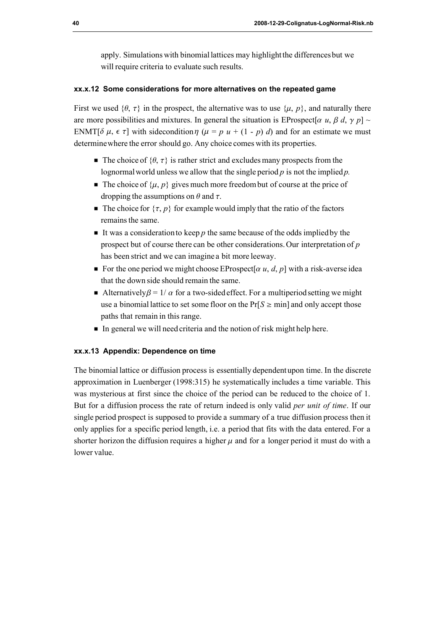apply. Simulations with binomial lattices may highlight the differences but we will require criteria to evaluate such results.

# xx.x.12 Some considerations for more alternatives on the repeated game

First we used  $\{\theta, \tau\}$  in the prospect, the alternative was to use  $\{\mu, p\}$ , and naturally there are more possibilities and mixtures. In general the situation is EProspect  $\alpha$  u,  $\beta$  d,  $\gamma$  p] ~ ENMT[ $\delta \mu$ ,  $\epsilon \tau$ ] with sidecondition  $\eta$  ( $\mu = p$  u + (1 - p) d) and for an estimate we must determine where the error should go. Any choice comes with its properties.

- $\blacksquare$  The choice of  $\{ \theta, \tau \}$  is rather strict and excludes many prospects from the lognormal world unless we allow that the single period  $p$  is not the implied  $p$ .
- $\blacksquare$  The choice of  $\{u, p\}$  gives much more freedom but of course at the price of dropping the assumptions on  $\theta$  and  $\tau$ .
- $\blacksquare$  The choice for  $\{\tau, p\}$  for example would imply that the ratio of the factors remains the same.
- $\blacksquare$  It was a consideration to keep p the same because of the odds implied by the prospect but of course there can be other considerations. Our interpretation of  $p$ has been strict and we can imagine a bit more leeway.
- $\blacksquare$  For the one period we might choose EProspect[ $\alpha$  u, d, p] with a risk-averse idea that the down side should remain the same.
- $\blacksquare$  Alternatively  $\beta = 1/\alpha$  for a two-sided effect. For a multiperiod setting we might use a binomial lattice to set some floor on the  $Pr[S \ge min]$  and only accept those paths that remain in this range.
- $\blacksquare$  In general we will need criteria and the notion of risk might help here.

# xx.x.13 Appendix: Dependence on time

The binomial lattice or diffusion process is essentially dependent upon time. In the discrete approximation in Luenberger (1998:315) he systematically includes a time variable. This was mysterious at first since the choice of the period can be reduced to the choice of 1. But for a diffusion process the rate of return indeed is only valid *per unit of time*. If our single period prospect is supposed to provide a summary of a true diffusion process then it only applies for a specific period length, i.e. a period that fits with the data entered. For a shorter horizon the diffusion requires a higher  $\mu$  and for a longer period it must do with a lower value.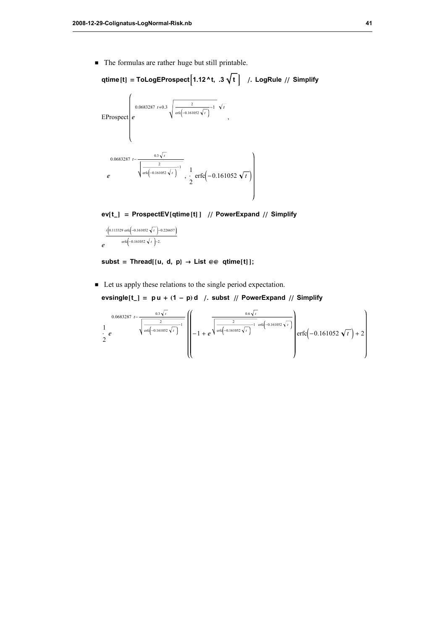$\blacksquare$  The formulas are rather huge but still printable.

$$
qtime[t] = \text{ToLogEProspect} \Big[ 1.12^{\text{ A}}t, .3\sqrt{t} \Big] \quad /. \text{ LogRule } // \text{ Simplify}
$$

EProspect e  $0.0683287$  t+0.3  $\frac{2}{\sqrt{2}}$  $\frac{2}{\text{erfc} \left(-0.161052 \sqrt{t}\right)}$  -1  $\sqrt{t}$ , ‰ 0.0683287 t -  $\frac{0.3 \sqrt{t}}{t}$ 2  $\frac{1}{\text{erfc} \left(-0.161052 \sqrt{t}\right)}$  – 1  $, \cdot$ 1  $\frac{1}{2}$  erfc $\left(-0.161052 \sqrt{t}\right)$ 

$$
ev[t_]
$$
 = **ProspectEV**[qtime[t]] // **PowerExpand** // Simplify

$$
e^{\frac{t\left(0.113329 \text{ erfc}\left(-0.161052 \sqrt{t}\right) - 0.226657\right)}{\text{erfc}\left(-0.161052 \sqrt{t}\right) - 2.26657}}
$$

subst = Thread[{u, d, p}  $\rightarrow$  List @@ qtime[t]];

 $\blacksquare$  Let us apply these relations to the single period expectation.

$$
evsingle[t_] = pu + (1 - p)d
$$
 / . 
$$
subset[Y] \quad PowerExpand \quad // \quad Simplify
$$

$$
\frac{1}{2}e^{-\frac{0.3\sqrt{t}}{\text{erfc}\left(-0.161052\sqrt{t}\right)^{-1}}}\left[\left(-1+e^{\frac{0.6\sqrt{t}}{\text{erfc}\left(-0.161052\sqrt{t}\right)}-\text{erfc}\left(-0.161052\sqrt{t}\right)}\right]\text{erfc}\left(-0.161052\sqrt{t}\right)+2\right]
$$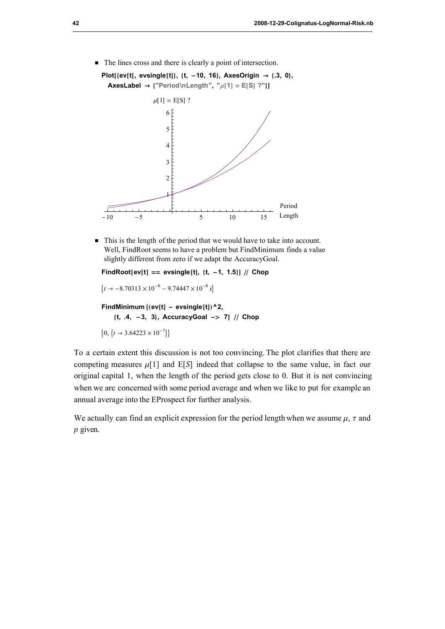

 $\blacksquare$  The lines cross and there is clearly a point of intersection.

 $\blacksquare$  This is the length of the period that we would have to take into account. Well, FindRoot seems to have a problem but FindMinimum finds a value slightly different from zero if we adapt the AccuracyGoal.

```
FindRoot[ev[t] == evsingle[t], \{t, -1, 1.5\}] // Chop
```

```
\{t \rightarrow -8.70313 \times 10^{-8} - 9.74447 \times 10^{-8} \}
```

```
FindMinimum [(ev[t] - evsingle[t])^2,\{t, .4, -3, 3\}, AccuracyGoal \rightarrow 7] // Chop
```
 $\{0, \{t \to 3.64223 \times 10^{-7}\}\}\$ 

To a certain extent this discussion is not too convincing. The plot clarifies that there are competing measures  $\mu[1]$  and E[S] indeed that collapse to the same value, in fact our original capital 1, when the length of the period gets close to 0. But it is not convincing when we are concerned with some period average and when we like to put for example an annual average into the EProspect for further analysis.

We actually can find an explicit expression for the period length when we assume  $\mu$ ,  $\tau$  and  $p$  given.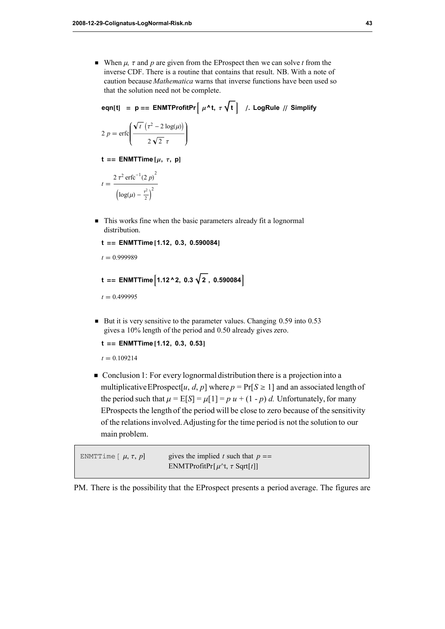• When  $\mu$ ,  $\tau$  and  $p$  are given from the EProspect then we can solve t from the inverse CDF. There is a routine that contains that result. NB. With a note of caution because Mathematica warns that inverse functions have been used so that the solution need not be complete.

```
eqn[t] = p == ENMTProfitPr \left[\mu^{\Lambda}t, \tau \sqrt{t}\right] /. LogRule // Simplify
 2 p = \text{erfc}\left(\frac{\sqrt{t} \left(\tau^2 - 2 \log(\mu)\right)}{\tau}\right)2 \sqrt{2} \taut == ENMTTime [\mu, \tau, p]t = \frac{2 \tau^2 \operatorname{erfc}^{-1}(2 p)^2}{2 \tau^2}\left(\log(\mu) - \frac{\tau^2}{2}\right)\left(\frac{r^2}{2}\right)^2
```
 $\blacksquare$  This works fine when the basic parameters already fit a lognormal distribution.

```
t == ENMTTime [1.12, 0.3, 0.590084]
```

```
t = 0.999989
```

```
t == ENMTTime [1.12 \times 2, 0.3 \sqrt{2}, 0.590084]
```
 $t = 0.499995$ 

 $\blacksquare$  But it is very sensitive to the parameter values. Changing 0.59 into 0.53 gives a 10% length of the period and 0.50 already gives zero.

```
t == ENMTTime [1.12, 0.3, 0.53]
```
 $t = 0.109214$ 

 $\blacksquare$  Conclusion 1: For every lognormal distribution there is a projection into a multiplicative EProspect[u, d, p] where  $p = Pr[S \ge 1]$  and an associated length of the period such that  $\mu = E[S] = \mu[1] = p u + (1 - p) d$ . Unfortunately, for many EProspects the length of the period will be close to zero because of the sensitivity of the relations involved. Adjusting for the time period is not the solution to our main problem.

```
ENMTTime \lceil \mu, \tau, p \rceil gives the implied t such that p ==ENMTProfitPr\lbrack \mu^{\wedge}t, \tau Sqrt\lbrack t \rbrack
```
PM. There is the possibility that the EProspect presents a period average. The figures are